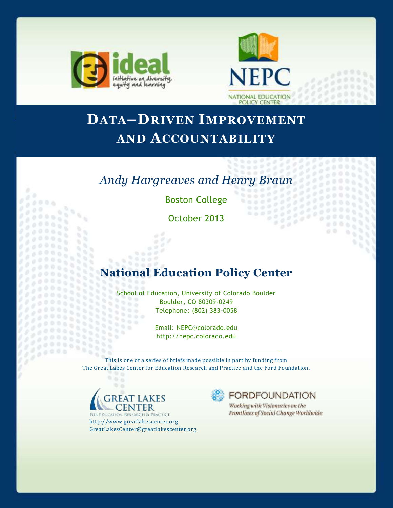

 $0.000$ 

9

n, h. Y.

ti,

÷,

n.

55

 $\sim$ 

 $\sim$ 

965

 $\sim$ 

........

20000000  $70000$ 

o



# **DATA–DRIVEN IMPROVEMENT AND ACCOUNTABILITY**

# *Andy Hargreaves and Henry Braun*

Boston College

October 2013

## **National Education Policy Center**

School of Education, University of Colorado Boulder Boulder, CO 80309-0249 888  $0<sub>0</sub>$ Telephone: (802) 383-0058 8886 

Email: NEPC@colorado.edu http://nepc.colorado.edu

This is one of a series of briefs made possible in part by funding from The Great Lakes Center for Education Research and Practice and the Ford Foundation.



 $\alpha$ 

**FOR EDUCATION RESEARCH & PRACTICE** http://www.greatlakescenter.org GreatLakesCenter@greatlakescenter.org



×

٠

 $000$  $00$ 

Working with Visionaries on the Frontlines of Social Change Worldwide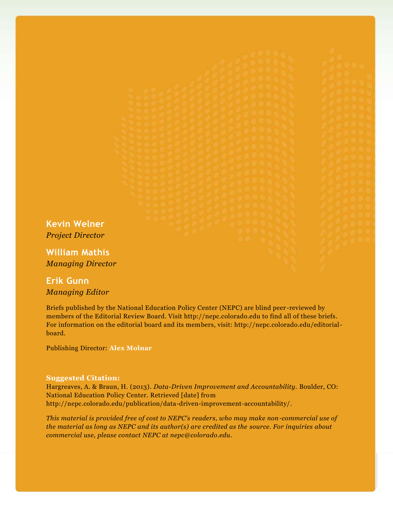**Kevin Welner** *Project Director*

**William Mathis** *Managing Director*

## **Erik Gunn** *Managing Editor*

Briefs published by the National Education Policy Center (NEPC) are blind peer -reviewed by members of the Editorial Review Board. Visit http://nepc.colorado.edu to find all of these briefs. For information on the editorial board and its members, visit: http://nepc.colorado.edu/editorialboard.

Publishing Director: **Alex Molnar**

#### **Suggested Citation:**

Hargreaves, A. & Braun, H. (2013). *Data-Driven Improvement and Accountability.* Boulder, CO: National Education Policy Center. Retrieved [date] from http://nepc.colorado.edu/publication/data-driven-improvement-accountability/.

*This material is provided free of cost to NEPC's readers, who may make non-commercial use of the material as long as NEPC and its author(s) are credited as the source. For inquiries about commercial use, please contact NEPC at nepc@colorado.edu.*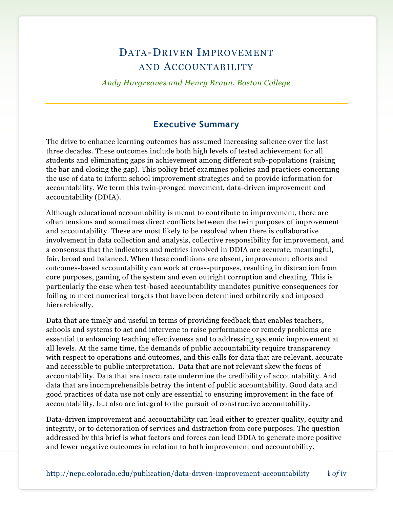## DATA-DRIVEN IMPROVEMENT AND ACCOUNTABILITY

*Andy Hargreaves and Henry Braun, Boston College*

### **Executive Summary**

The drive to enhance learning outcomes has assumed increasing salience over the last three decades. These outcomes include both high levels of tested achievement for all students and eliminating gaps in achievement among different sub-populations (raising the bar and closing the gap). This policy brief examines policies and practices concerning the use of data to inform school improvement strategies and to provide information for accountability. We term this twin-pronged movement, data-driven improvement and accountability (DDIA).

Although educational accountability is meant to contribute to improvement, there are often tensions and sometimes direct conflicts between the twin purposes of improvement and accountability. These are most likely to be resolved when there is collaborative involvement in data collection and analysis, collective responsibility for improvement, and a consensus that the indicators and metrics involved in DDIA are accurate, meaningful, fair, broad and balanced. When these conditions are absent, improvement efforts and outcomes-based accountability can work at cross-purposes, resulting in distraction from core purposes, gaming of the system and even outright corruption and cheating. This is particularly the case when test-based accountability mandates punitive consequences for failing to meet numerical targets that have been determined arbitrarily and imposed hierarchically.

Data that are timely and useful in terms of providing feedback that enables teachers, schools and systems to act and intervene to raise performance or remedy problems are essential to enhancing teaching effectiveness and to addressing systemic improvement at all levels. At the same time, the demands of public accountability require transparency with respect to operations and outcomes, and this calls for data that are relevant, accurate and accessible to public interpretation. Data that are not relevant skew the focus of accountability. Data that are inaccurate undermine the credibility of accountability. And data that are incomprehensible betray the intent of public accountability. Good data and good practices of data use not only are essential to ensuring improvement in the face of accountability, but also are integral to the pursuit of constructive accountability.

Data-driven improvement and accountability can lead either to greater quality, equity and integrity, or to deterioration of services and distraction from core purposes. The question addressed by this brief is what factors and forces can lead DDIA to generate more positive and fewer negative outcomes in relation to both improvement and accountability.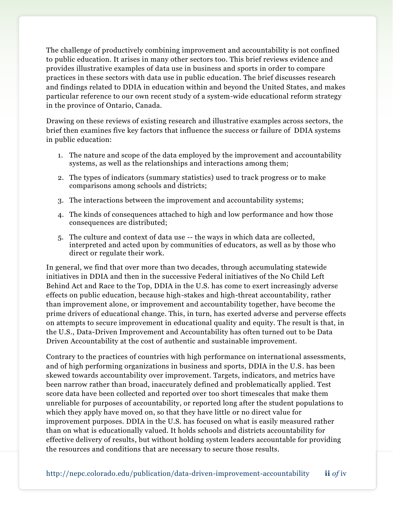The challenge of productively combining improvement and accountability is not confined to public education. It arises in many other sectors too. This brief reviews evidence and provides illustrative examples of data use in business and sports in order to compare practices in these sectors with data use in public education. The brief discusses research and findings related to DDIA in education within and beyond the United States, and makes particular reference to our own recent study of a system-wide educational reform strategy in the province of Ontario, Canada.

Drawing on these reviews of existing research and illustrative examples across sectors, the brief then examines five key factors that influence the success or failure of DDIA systems in public education:

- 1. The nature and scope of the data employed by the improvement and accountability systems, as well as the relationships and interactions among them;
- 2. The types of indicators (summary statistics) used to track progress or to make comparisons among schools and districts;
- 3. The interactions between the improvement and accountability systems;
- 4. The kinds of consequences attached to high and low performance and how those consequences are distributed;
- 5. The culture and context of data use -- the ways in which data are collected, interpreted and acted upon by communities of educators, as well as by those who direct or regulate their work.

In general, we find that over more than two decades, through accumulating statewide initiatives in DDIA and then in the successive Federal initiatives of the No Child Left Behind Act and Race to the Top, DDIA in the U.S. has come to exert increasingly adverse effects on public education, because high-stakes and high-threat accountability, rather than improvement alone, or improvement and accountability together, have become the prime drivers of educational change. This, in turn, has exerted adverse and perverse effects on attempts to secure improvement in educational quality and equity. The result is that, in the U.S., Data-Driven Improvement and Accountability has often turned out to be Data Driven Accountability at the cost of authentic and sustainable improvement.

Contrary to the practices of countries with high performance on international assessments, and of high performing organizations in business and sports, DDIA in the U.S. has been skewed towards accountability over improvement. Targets, indicators, and metrics have been narrow rather than broad, inaccurately defined and problematically applied. Test score data have been collected and reported over too short timescales that make them unreliable for purposes of accountability, or reported long after the student populations to which they apply have moved on, so that they have little or no direct value for improvement purposes. DDIA in the U.S. has focused on what is easily measured rather than on what is educationally valued. It holds schools and districts accountability for effective delivery of results, but without holding system leaders accountable for providing the resources and conditions that are necessary to secure those results.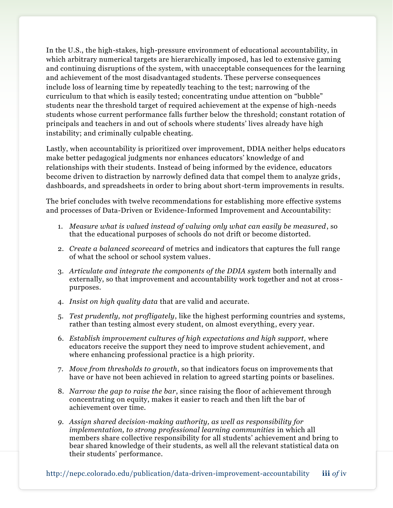In the U.S., the high-stakes, high-pressure environment of educational accountability, in which arbitrary numerical targets are hierarchically imposed, has led to extensive gaming and continuing disruptions of the system, with unacceptable consequences for the learning and achievement of the most disadvantaged students. These perverse consequences include loss of learning time by repeatedly teaching to the test; narrowing of the curriculum to that which is easily tested; concentrating undue attention on "bubble" students near the threshold target of required achievement at the expense of high-needs students whose current performance falls further below the threshold; constant rotation of principals and teachers in and out of schools where students' lives already have high instability; and criminally culpable cheating.

Lastly, when accountability is prioritized over improvement, DDIA neither helps educators make better pedagogical judgments nor enhances educators' knowledge of and relationships with their students. Instead of being informed by the evidence, educators become driven to distraction by narrowly defined data that compel them to analyze grids , dashboards, and spreadsheets in order to bring about short-term improvements in results.

The brief concludes with twelve recommendations for establishing more effective systems and processes of Data-Driven or Evidence-Informed Improvement and Accountability:

- 1. *Measure what is valued instead of valuing only what can easily be measured*, so that the educational purposes of schools do not drift or become distorted.
- 2. *Create a balanced scorecard* of metrics and indicators that captures the full range of what the school or school system values.
- 3. *Articulate and integrate the components of the DDIA system* both internally and externally, so that improvement and accountability work together and not at cross purposes.
- 4. *Insist on high quality data* that are valid and accurate.
- 5. *Test prudently, not profligately*, like the highest performing countries and systems, rather than testing almost every student, on almost everything, every year.
- 6. *Establish improvement cultures of high expectations and high support,* where educators receive the support they need to improve student achievement, and where enhancing professional practice is a high priority.
- 7. *Move from thresholds to growth*, so that indicators focus on improvements that have or have not been achieved in relation to agreed starting points or baselines.
- 8. *Narrow the gap to raise the bar*, since raising the floor of achievement through concentrating on equity, makes it easier to reach and then lift the bar of achievement over time.
- *9. Assign shared decision-making authority, as well as responsibility for implementation, to strong professional learning communities* in which all members share collective responsibility for all students' achievement and bring to bear shared knowledge of their students, as well all the relevant statistical data on their students' performance.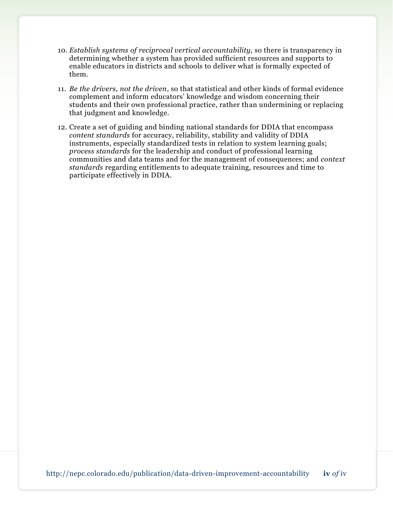- 10. *Establish systems of reciprocal vertical accountability,* so there is transparency in determining whether a system has provided sufficient resources and supports to enable educators in districts and schools to deliver what is formally expected of them.
- 11. *Be the drivers, not the driven*, so that statistical and other kinds of formal evidence complement and inform educators' knowledge and wisdom concerning their students and their own professional practice, rather than undermining or replacing that judgment and knowledge.
- 12. Create a set of guiding and binding national standards for DDIA that encompass *content standards* for accuracy, reliability, stability and validity of DDIA instruments, especially standardized tests in relation to system learning goals; *process standards* for the leadership and conduct of professional learning communities and data teams and for the management of consequences; and *context standards* regarding entitlements to adequate training, resources and time to participate effectively in DDIA.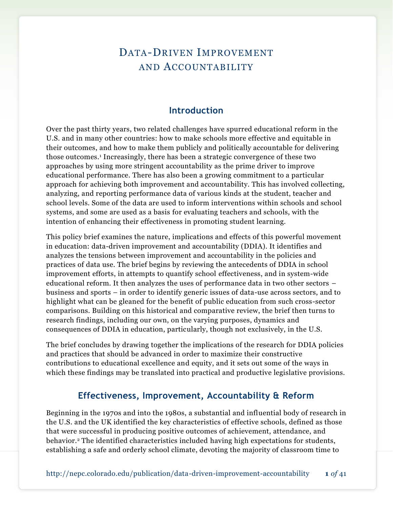## DATA-DRIVEN IMPROVEMENT AND ACCOUNTABILITY

## **Introduction**

Over the past thirty years, two related challenges have spurred educational reform in the U.S. and in many other countries: how to make schools more effective and equitable in their outcomes, and how to make them publicly and politically accountable for delivering those outcomes.<sup>1</sup> Increasingly, there has been a strategic convergence of these two approaches by using more stringent accountability as the prime driver to improve educational performance. There has also been a growing commitment to a particular approach for achieving both improvement and accountability. This has involved collecting, analyzing, and reporting performance data of various kinds at the student, teacher and school levels. Some of the data are used to inform interventions within schools and school systems, and some are used as a basis for evaluating teachers and schools, with the intention of enhancing their effectiveness in promoting student learning.

This policy brief examines the nature, implications and effects of this powerful movement in education: data-driven improvement and accountability (DDIA). It identifies and analyzes the tensions between improvement and accountability in the policies and practices of data use. The brief begins by reviewing the antecedents of DDIA in school improvement efforts, in attempts to quantify school effectiveness, and in system-wide educational reform. It then analyzes the uses of performance data in two other sectors – business and sports – in order to identify generic issues of data-use across sectors, and to highlight what can be gleaned for the benefit of public education from such cross-sector comparisons. Building on this historical and comparative review, the brief then turns to research findings, including our own, on the varying purposes, dynamics and consequences of DDIA in education, particularly, though not exclusively, in the U.S.

The brief concludes by drawing together the implications of the research for DDIA policies and practices that should be advanced in order to maximize their constructive contributions to educational excellence and equity, and it sets out some of the ways in which these findings may be translated into practical and productive legislative provisions.

### **Effectiveness, Improvement, Accountability & Reform**

Beginning in the 1970s and into the 1980s, a substantial and influential body of research in the U.S. and the UK identified the key characteristics of effective schools, defined as those that were successful in producing positive outcomes of achievement, attendance, and behavior.<sup>2</sup> The identified characteristics included having high expectations for students, establishing a safe and orderly school climate, devoting the majority of classroom time to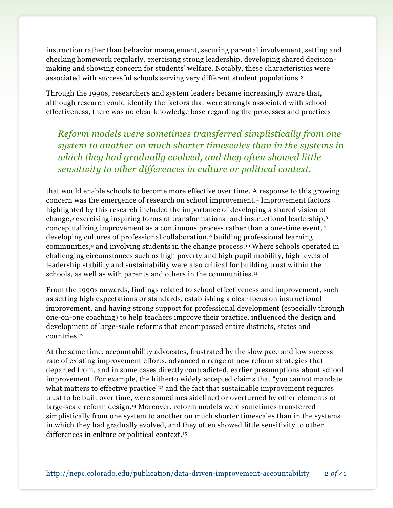instruction rather than behavior management, securing parental involvement, setting and checking homework regularly, exercising strong leadership, developing shared decisionmaking and showing concern for students' welfare. Notably, these characteristics were associated with successful schools serving very different student populations. <sup>3</sup>

Through the 1990s, researchers and system leaders became increasingly aware that, although research could identify the factors that were strongly associated with school effectiveness, there was no clear knowledge base regarding the processes and practices

*Reform models were sometimes transferred simplistically from one system to another on much shorter timescales than in the systems in which they had gradually evolved, and they often showed little sensitivity to other differences in culture or political context.*

that would enable schools to become more effective over time. A response to this growing concern was the emergence of research on school improvement.<sup>4</sup> Improvement factors highlighted by this research included the importance of developing a shared vision of change,<sup>5</sup> exercising inspiring forms of transformational and instructional leadership,<sup>6</sup> conceptualizing improvement as a continuous process rather than a one-time event, <sup>7</sup> developing cultures of professional collaboration,<sup>8</sup> building professional learning communities,<sup>9</sup> and involving students in the change process.<sup>10</sup> Where schools operated in challenging circumstances such as high poverty and high pupil mobility, high levels of leadership stability and sustainability were also critical for building trust within the schools, as well as with parents and others in the communities.<sup>11</sup>

From the 1990s onwards, findings related to school effectiveness and improvement, such as setting high expectations or standards, establishing a clear focus on instructional improvement, and having strong support for professional development (especially through one-on-one coaching) to help teachers improve their practice, influenced the design and development of large-scale reforms that encompassed entire districts, states and countries.<sup>12</sup>

At the same time, accountability advocates, frustrated by the slow pace and low success rate of existing improvement efforts, advanced a range of new reform strategies that departed from, and in some cases directly contradicted, earlier presumptions about school improvement. For example, the hitherto widely accepted claims that "you cannot mandate what matters to effective practice"<sup>13</sup> and the fact that sustainable improvement requires trust to be built over time, were sometimes sidelined or overturned by other elements of large-scale reform design.<sup>14</sup> Moreover, reform models were sometimes transferred simplistically from one system to another on much shorter timescales than in the systems in which they had gradually evolved, and they often showed little sensitivity to other differences in culture or political context.15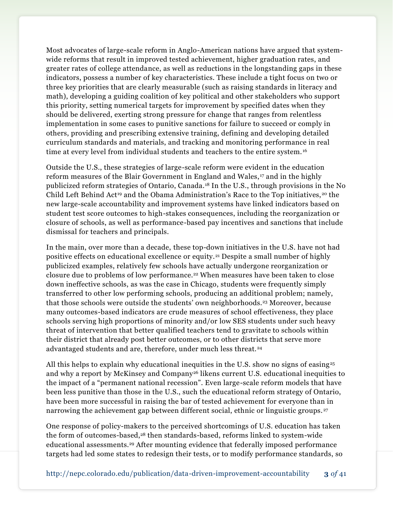Most advocates of large-scale reform in Anglo-American nations have argued that systemwide reforms that result in improved tested achievement, higher graduation rates, and greater rates of college attendance, as well as reductions in the longstanding gaps in these indicators, possess a number of key characteristics. These include a tight focus on two or three key priorities that are clearly measurable (such as raising standards in literacy and math), developing a guiding coalition of key political and other stakeholders who support this priority, setting numerical targets for improvement by specified dates when they should be delivered, exerting strong pressure for change that ranges from relentless implementation in some cases to punitive sanctions for failure to succeed or comply in others, providing and prescribing extensive training, defining and developing detailed curriculum standards and materials, and tracking and monitoring performance in real time at every level from individual students and teachers to the entire system. <sup>16</sup>

Outside the U.S., these strategies of large-scale reform were evident in the education reform measures of the Blair Government in England and Wales, <sup>17</sup> and in the highly publicized reform strategies of Ontario, Canada.<sup>18</sup> In the U.S., through provisions in the No Child Left Behind Act<sup>19</sup> and the Obama Administration's Race to the Top initiatives,<sup>20</sup> the new large-scale accountability and improvement systems have linked indicators based on student test score outcomes to high-stakes consequences, including the reorganization or closure of schools, as well as performance-based pay incentives and sanctions that include dismissal for teachers and principals.

In the main, over more than a decade, these top-down initiatives in the U.S. have not had positive effects on educational excellence or equity.<sup>21</sup> Despite a small number of highly publicized examples, relatively few schools have actually undergone reorganization or closure due to problems of low performance.<sup>22</sup> When measures have been taken to close down ineffective schools, as was the case in Chicago, students were frequently simply transferred to other low performing schools, producing an additional problem; namely, that those schools were outside the students' own neighborhoods.<sup>23</sup> Moreover, because many outcomes-based indicators are crude measures of school effectiveness, they place schools serving high proportions of minority and/or low SES students under such heavy threat of intervention that better qualified teachers tend to gravitate to schools within their district that already post better outcomes, or to other districts that serve more advantaged students and are, therefore, under much less threat.<sup>24</sup>

All this helps to explain why educational inequities in the U.S. show no signs of easing<sup>25</sup> and why a report by McKinsey and Company<sup>26</sup> likens current U.S. educational inequities to the impact of a "permanent national recession". Even large-scale reform models that have been less punitive than those in the U.S., such the educational reform strategy of Ontario, have been more successful in raising the bar of tested achievement for everyone than in narrowing the achievement gap between different social, ethnic or linguistic groups.<sup>27</sup>

One response of policy-makers to the perceived shortcomings of U.S. education has taken the form of outcomes-based,<sup>28</sup> then standards-based, reforms linked to system-wide educational assessments.<sup>29</sup> After mounting evidence that federally imposed performance targets had led some states to redesign their tests, or to modify performance standards, so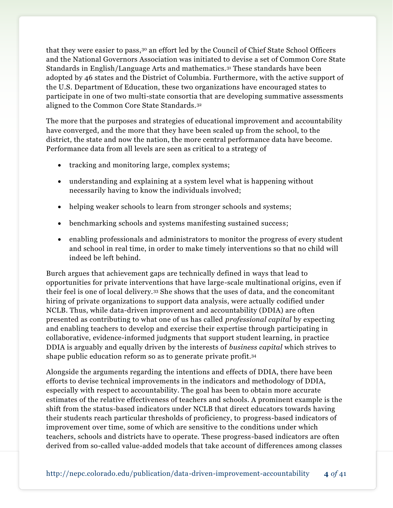that they were easier to pass,<sup>30</sup> an effort led by the Council of Chief State School Officers and the National Governors Association was initiated to devise a set of Common Core State Standards in English/Language Arts and mathematics.<sup>31</sup> These standards have been adopted by 46 states and the District of Columbia. Furthermore, with the active support of the U.S. Department of Education, these two organizations have encouraged states to participate in one of two multi-state consortia that are developing summative assessments aligned to the Common Core State Standards.<sup>32</sup>

The more that the purposes and strategies of educational improvement and accountability have converged, and the more that they have been scaled up from the school, to the district, the state and now the nation, the more central performance data have become. Performance data from all levels are seen as critical to a strategy of

- tracking and monitoring large, complex systems;
- understanding and explaining at a system level what is happening without necessarily having to know the individuals involved;
- helping weaker schools to learn from stronger schools and systems;
- benchmarking schools and systems manifesting sustained success;
- enabling professionals and administrators to monitor the progress of every student and school in real time, in order to make timely interventions so that no child will indeed be left behind.

Burch argues that achievement gaps are technically defined in ways that lead to opportunities for private interventions that have large-scale multinational origins, even if their feel is one of local delivery.<sup>33</sup> She shows that the uses of data, and the concomitant hiring of private organizations to support data analysis, were actually codified under NCLB. Thus, while data-driven improvement and accountability (DDIA) are often presented as contributing to what one of us has called *professional capital* by expecting and enabling teachers to develop and exercise their expertise through participating in collaborative, evidence-informed judgments that support student learning, in practice DDIA is arguably and equally driven by the interests of *business capital* which strives to shape public education reform so as to generate private profit.<sup>34</sup>

Alongside the arguments regarding the intentions and effects of DDIA, there have been efforts to devise technical improvements in the indicators and methodology of DDIA, especially with respect to accountability. The goal has been to obtain more accurate estimates of the relative effectiveness of teachers and schools. A prominent example is the shift from the status-based indicators under NCLB that direct educators towards having their students reach particular thresholds of proficiency, to progress-based indicators of improvement over time, some of which are sensitive to the conditions under which teachers, schools and districts have to operate. These progress-based indicators are often derived from so-called value-added models that take account of differences among classes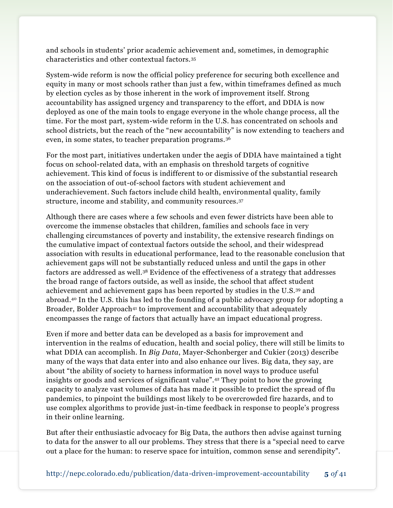and schools in students' prior academic achievement and, sometimes, in demographic characteristics and other contextual factors.<sup>35</sup>

System-wide reform is now the official policy preference for securing both excellence and equity in many or most schools rather than just a few, within timeframes defined as much by election cycles as by those inherent in the work of improvement itself. Strong accountability has assigned urgency and transparency to the effort, and DDIA is now deployed as one of the main tools to engage everyone in the whole change process, all the time. For the most part, system-wide reform in the U.S. has concentrated on schools and school districts, but the reach of the "new accountability" is now extending to teachers and even, in some states, to teacher preparation programs.<sup>36</sup>

For the most part, initiatives undertaken under the aegis of DDIA have maintained a tight focus on school-related data, with an emphasis on threshold targets of cognitive achievement. This kind of focus is indifferent to or dismissive of the substantial research on the association of out-of-school factors with student achievement and underachievement. Such factors include child health, environmental quality, family structure, income and stability, and community resources.<sup>37</sup>

Although there are cases where a few schools and even fewer districts have been able to overcome the immense obstacles that children, families and schools face in very challenging circumstances of poverty and instability, the extensive research findings on the cumulative impact of contextual factors outside the school, and their widespread association with results in educational performance, lead to the reasonable conclusion that achievement gaps will not be substantially reduced unless and until the gaps in other factors are addressed as well.<sup>38</sup> Evidence of the effectiveness of a strategy that addresses the broad range of factors outside, as well as inside, the school that affect student achievement and achievement gaps has been reported by studies in the U.S.<sup>39</sup> and abroad.<sup>40</sup> In the U.S. this has led to the founding of a public advocacy group for adopting a Broader, Bolder Approach<sup>41</sup> to improvement and accountability that adequately encompasses the range of factors that actually have an impact educational progress.

Even if more and better data can be developed as a basis for improvement and intervention in the realms of education, health and social policy, there will still be limits to what DDIA can accomplish. In *Big Data*, Mayer-Schonberger and Cukier (2013) describe many of the ways that data enter into and also enhance our lives. Big data, they say, are about "the ability of society to harness information in novel ways to produce useful insights or goods and services of significant value".<sup>42</sup> They point to how the growing capacity to analyze vast volumes of data has made it possible to predict the spread of flu pandemics, to pinpoint the buildings most likely to be overcrowded fire hazards, and to use complex algorithms to provide just-in-time feedback in response to people's progress in their online learning.

But after their enthusiastic advocacy for Big Data, the authors then advise against turning to data for the answer to all our problems. They stress that there is a "special need to carve out a place for the human: to reserve space for intuition, common sense and serendipity".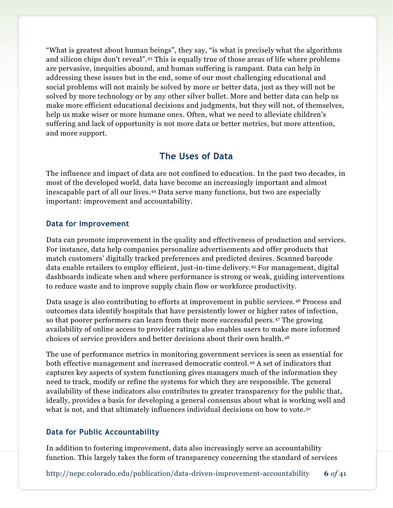"What is greatest about human beings", they say, "is what is precisely what the algorithms and silicon chips don't reveal".<sup>43</sup> This is equally true of those areas of life where problems are pervasive, inequities abound, and human suffering is rampant. Data can help in addressing these issues but in the end, some of our most challenging educational and social problems will not mainly be solved by more or better data, just as they will not be solved by more technology or by any other silver bullet. More and better data can help us make more efficient educational decisions and judgments, but they will not, of themselves, help us make wiser or more humane ones. Often, what we need to alleviate children's suffering and lack of opportunity is not more data or better metrics, but more attention, and more support.

## **The Uses of Data**

The influence and impact of data are not confined to education. In the past two decades, in most of the developed world, data have become an increasingly important and almost inescapable part of all our lives.<sup>44</sup> Data serve many functions, but two are especially important: improvement and accountability.

#### **Data for Improvement**

Data can promote improvement in the quality and effectiveness of production and services. For instance, data help companies personalize advertisements and offer products that match customers' digitally tracked preferences and predicted desires. Scanned barcode data enable retailers to employ efficient, just-in-time delivery.<sup>45</sup> For management, digital dashboards indicate when and where performance is strong or weak, guiding interventions to reduce waste and to improve supply chain flow or workforce productivity.

Data usage is also contributing to efforts at improvement in public services. <sup>46</sup> Process and outcomes data identify hospitals that have persistently lower or higher rates of infection, so that poorer performers can learn from their more successful peers. <sup>47</sup> The growing availability of online access to provider ratings also enables users to make more informed choices of service providers and better decisions about their own health. <sup>48</sup>

The use of performance metrics in monitoring government services is seen as essential for both effective management and increased democratic control.<sup>49</sup> A set of indicators that captures key aspects of system functioning gives managers much of the information they need to track, modify or refine the systems for which they are responsible. The general availability of these indicators also contributes to greater transparency for the public that, ideally, provides a basis for developing a general consensus about what is working well and what is not, and that ultimately influences individual decisions on how to vote.<sup>50</sup>

#### **Data for Public Accountability**

In addition to fostering improvement, data also increasingly serve an accountability function. This largely takes the form of transparency concerning the standard of services

http://nepc.colorado.edu/publication/data-driven-improvement-accountability **6** *of* 41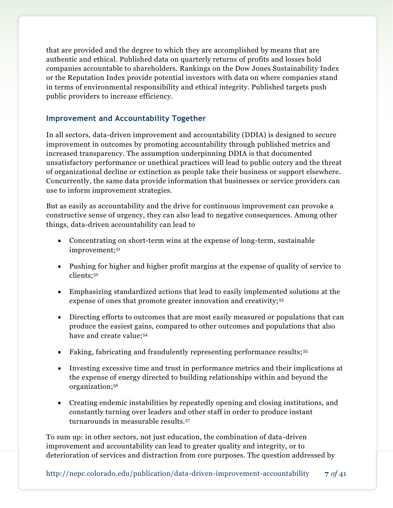that are provided and the degree to which they are accomplished by means that are authentic and ethical. Published data on quarterly returns of profits and losses hold companies accountable to shareholders. Rankings on the Dow Jones Sustainability Index or the Reputation Index provide potential investors with data on where companies stand in terms of environmental responsibility and ethical integrity. Published targets push public providers to increase efficiency.

#### **Improvement and Accountability Together**

In all sectors, data-driven improvement and accountability (DDIA) is designed to secure improvement in outcomes by promoting accountability through published metrics and increased transparency. The assumption underpinning DDIA is that documented unsatisfactory performance or unethical practices will lead to public outcry and the threat of organizational decline or extinction as people take their business or support elsewhere. Concurrently, the same data provide information that businesses or service providers can use to inform improvement strategies.

But as easily as accountability and the drive for continuous improvement can provoke a constructive sense of urgency, they can also lead to negative consequences. Among other things, data-driven accountability can lead to

- Concentrating on short-term wins at the expense of long-term, sustainable improvement;<sup>51</sup>
- Pushing for higher and higher profit margins at the expense of quality of service to clients;<sup>52</sup>
- Emphasizing standardized actions that lead to easily implemented solutions at the expense of ones that promote greater innovation and creativity;<sup>53</sup>
- Directing efforts to outcomes that are most easily measured or populations that can produce the easiest gains, compared to other outcomes and populations that also have and create value;<sup>54</sup>
- Faking, fabricating and fraudulently representing performance results;<sup>55</sup>
- Investing excessive time and trust in performance metrics and their implications at the expense of energy directed to building relationships within and beyond the organization;<sup>56</sup>
- Creating endemic instabilities by repeatedly opening and closing institutions, and constantly turning over leaders and other staff in order to produce instant turnarounds in measurable results.<sup>57</sup>

To sum up: in other sectors, not just education, the combination of data-driven improvement and accountability can lead to greater quality and integrity, or to deterioration of services and distraction from core purposes. The question addressed by

http://nepc.colorado.edu/publication/data-driven-improvement-accountability **7** *of* 41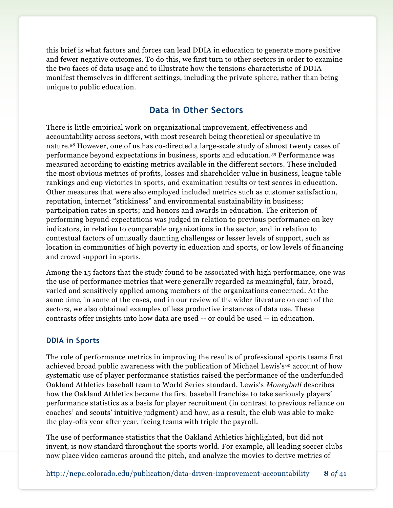this brief is what factors and forces can lead DDIA in education to generate more positive and fewer negative outcomes. To do this, we first turn to other sectors in order to examine the two faces of data usage and to illustrate how the tensions characteristic of DDIA manifest themselves in different settings, including the private sphere, rather than being unique to public education.

## **Data in Other Sectors**

There is little empirical work on organizational improvement, effectiveness and accountability across sectors, with most research being theoretical or speculative in nature.<sup>58</sup> However, one of us has co-directed a large-scale study of almost twenty cases of performance beyond expectations in business, sports and education. <sup>59</sup> Performance was measured according to existing metrics available in the different sectors. These included the most obvious metrics of profits, losses and shareholder value in business, league table rankings and cup victories in sports, and examination results or test scores in education. Other measures that were also employed included metrics such as customer satisfaction, reputation, internet "stickiness" and environmental sustainability in business; participation rates in sports; and honors and awards in education. The criterion of performing beyond expectations was judged in relation to previous performance on key indicators, in relation to comparable organizations in the sector, and in relation to contextual factors of unusually daunting challenges or lesser levels of support, such as location in communities of high poverty in education and sports, or low levels of financing and crowd support in sports.

Among the 15 factors that the study found to be associated with high performance, one was the use of performance metrics that were generally regarded as meaningful, fair, broad, varied and sensitively applied among members of the organizations concerned. At the same time, in some of the cases, and in our review of the wider literature on each of the sectors, we also obtained examples of less productive instances of data use. These contrasts offer insights into how data are used -- or could be used -- in education.

### **DDIA in Sports**

The role of performance metrics in improving the results of professional sports teams first achieved broad public awareness with the publication of Michael Lewis's <sup>60</sup> account of how systematic use of player performance statistics raised the performance of the underfunded Oakland Athletics baseball team to World Series standard. Lewis's *Moneyball* describes how the Oakland Athletics became the first baseball franchise to take seriously players' performance statistics as a basis for player recruitment (in contrast to previous reliance on coaches' and scouts' intuitive judgment) and how, as a result, the club was able to make the play-offs year after year, facing teams with triple the payroll.

The use of performance statistics that the Oakland Athletics highlighted, but did not invent, is now standard throughout the sports world. For example, all leading soccer clubs now place video cameras around the pitch, and analyze the movies to derive metrics of

http://nepc.colorado.edu/publication/data-driven-improvement-accountability **8** *of* 41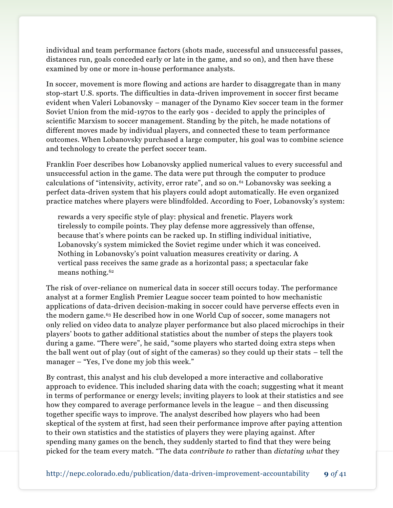individual and team performance factors (shots made, successful and unsuccessful passes, distances run, goals conceded early or late in the game, and so on), and then have these examined by one or more in-house performance analysts.

In soccer, movement is more flowing and actions are harder to disaggregate than in many stop-start U.S. sports. The difficulties in data-driven improvement in soccer first became evident when Valeri Lobanovsky – manager of the Dynamo Kiev soccer team in the former Soviet Union from the mid-1970s to the early 90s - decided to apply the principles of scientific Marxism to soccer management. Standing by the pitch, he made notations of different moves made by individual players, and connected these to team performance outcomes. When Lobanovsky purchased a large computer, his goal was to combine science and technology to create the perfect soccer team.

Franklin Foer describes how Lobanovsky applied numerical values to every successful and unsuccessful action in the game. The data were put through the computer to produce calculations of "intensivity, activity, error rate", and so on.<sup>61</sup> Lobanovsky was seeking a perfect data-driven system that his players could adopt automatically. He even organized practice matches where players were blindfolded. According to Foer, Lobanovsky's system:

rewards a very specific style of play: physical and frenetic. Players work tirelessly to compile points. They play defense more aggressively than offense, because that's where points can be racked up. In stifling individual initiative, Lobanovsky's system mimicked the Soviet regime under which it was conceived. Nothing in Lobanovsky's point valuation measures creativity or daring. A vertical pass receives the same grade as a horizontal pass; a spectacular fake means nothing.<sup>62</sup>

The risk of over-reliance on numerical data in soccer still occurs today. The performance analyst at a former English Premier League soccer team pointed to how mechanistic applications of data-driven decision-making in soccer could have perverse effects even in the modern game.<sup>63</sup> He described how in one World Cup of soccer, some managers not only relied on video data to analyze player performance but also placed microchips in their players' boots to gather additional statistics about the number of steps the players took during a game. "There were", he said, "some players who started doing extra steps when the ball went out of play (out of sight of the cameras) so they could up their stats – tell the manager – "Yes, I've done my job this week."

By contrast, this analyst and his club developed a more interactive and collaborative approach to evidence. This included sharing data with the coach; suggesting what it meant in terms of performance or energy levels; inviting players to look at their statistics and see how they compared to average performance levels in the league – and then discussing together specific ways to improve. The analyst described how players who had been skeptical of the system at first, had seen their performance improve after paying attention to their own statistics and the statistics of players they were playing against. After spending many games on the bench, they suddenly started to find that they were being picked for the team every match. "The data *contribute to* rather than *dictating what* they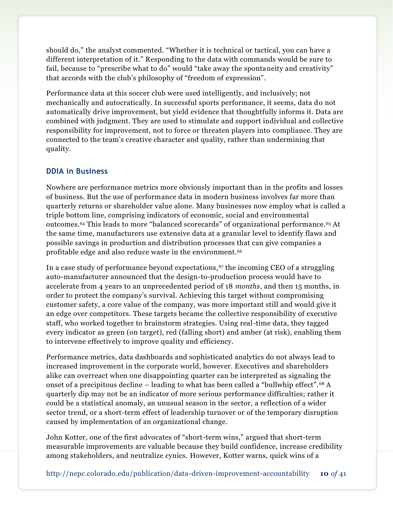should do," the analyst commented. "Whether it is technical or tactical, you can have a different interpretation of it." Responding to the data with commands would be sure to fail, because to "prescribe what to do" would "take away the spontaneity and creativity" that accords with the club's philosophy of "freedom of expression".

Performance data at this soccer club were used intelligently, and inclusively; not mechanically and autocratically. In successful sports performance, it seems, data do not automatically drive improvement, but yield evidence that thoughtfully informs it. Data are combined with judgment. They are used to stimulate and support individual and collective responsibility for improvement, not to force or threaten players into compliance. They are connected to the team's creative character and quality, rather than undermining that quality.

#### **DDIA in Business**

Nowhere are performance metrics more obviously important than in the profits and losses of business. But the use of performance data in modern business involves far more than quarterly returns or shareholder value alone. Many businesses now employ what is called a triple bottom line, comprising indicators of economic, social and environmental outcomes.<sup>64</sup> This leads to more "balanced scorecards" of organizational performance.<sup>65</sup> At the same time, manufacturers use extensive data at a granular level to identify flaws and possible savings in production and distribution processes that can give companies a profitable edge and also reduce waste in the environment.<sup>66</sup>

In a case study of performance beyond expectations, $67$  the incoming CEO of a struggling auto-manufacturer announced that the design-to-production process would have to accelerate from 4 years to an unprecedented period of 18 *months*, and then 15 months, in order to protect the company's survival. Achieving this target without compromising customer safety, a core value of the company, was more important still and would give it an edge over competitors. These targets became the collective responsibility of executive staff, who worked together to brainstorm strategies. Using real-time data, they tagged every indicator as green (on target), red (falling short) and amber (at risk), enabling them to intervene effectively to improve quality and efficiency.

Performance metrics, data dashboards and sophisticated analytics do not always lead to increased improvement in the corporate world, however. Executives and shareholders alike can overreact when one disappointing quarter can be interpreted as signaling the onset of a precipitous decline – leading to what has been called a "bullwhip effect".<sup>68</sup> A quarterly dip may not be an indicator of more serious performance difficulties; rather it could be a statistical anomaly, an unusual season in the sector, a reflection of a wider sector trend, or a short-term effect of leadership turnover or of the temporary disruption caused by implementation of an organizational change.

John Kotter, one of the first advocates of "short-term wins," argued that short-term measurable improvements are valuable because they build confidence, increase credibility among stakeholders, and neutralize cynics. However, Kotter warns, quick wins of a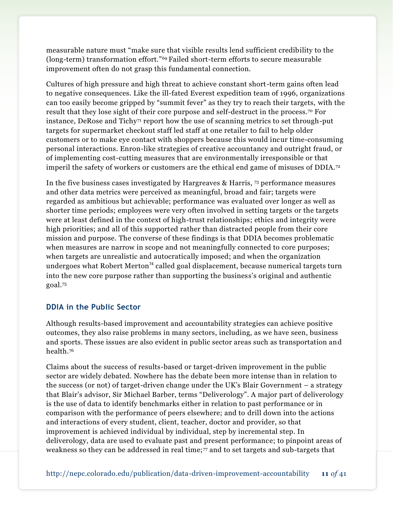measurable nature must "make sure that visible results lend sufficient credibility to the (long-term) transformation effort."<sup>69</sup> Failed short-term efforts to secure measurable improvement often do not grasp this fundamental connection.

Cultures of high pressure and high threat to achieve constant short-term gains often lead to negative consequences. Like the ill-fated Everest expedition team of 1996, organizations can too easily become gripped by "summit fever" as they try to reach their targets, with the result that they lose sight of their core purpose and self-destruct in the process.<sup>70</sup> For instance, DeRose and Tichy<sup> $7$ </sup> report how the use of scanning metrics to set through-put targets for supermarket checkout staff led staff at one retailer to fail to help older customers or to make eye contact with shoppers because this would incur time-consuming personal interactions. Enron-like strategies of creative accountancy and outright fraud, or of implementing cost-cutting measures that are environmentally irresponsible or that imperil the safety of workers or customers are the ethical end game of misuses of DDIA.<sup>72</sup>

In the five business cases investigated by Hargreaves & Harris, <sup>73</sup> performance measures and other data metrics were perceived as meaningful, broad and fair; targets were regarded as ambitious but achievable; performance was evaluated over longer as well as shorter time periods; employees were very often involved in setting targets or the targets were at least defined in the context of high-trust relationships; ethics and integrity were high priorities; and all of this supported rather than distracted people from their core mission and purpose. The converse of these findings is that DDIA becomes problematic when measures are narrow in scope and not meaningfully connected to core purposes; when targets are unrealistic and autocratically imposed; and when the organization undergoes what Robert Merton<sup> $74$ </sup> called goal displacement, because numerical targets turn into the new core purpose rather than supporting the business's original and authentic goal.<sup>75</sup>

#### **DDIA in the Public Sector**

Although results-based improvement and accountability strategies can achieve positive outcomes, they also raise problems in many sectors, including, as we have seen, business and sports. These issues are also evident in public sector areas such as transportation and health.<sup>76</sup>

Claims about the success of results-based or target-driven improvement in the public sector are widely debated. Nowhere has the debate been more intense than in relation to the success (or not) of target-driven change under the UK's Blair Government – a strategy that Blair's advisor, Sir Michael Barber, terms "Deliverology". A major part of deliverology is the use of data to identify benchmarks either in relation to past performance or in comparison with the performance of peers elsewhere; and to drill down into the actions and interactions of every student, client, teacher, doctor and provider, so that improvement is achieved individual by individual, step by incremental step. In deliverology, data are used to evaluate past and present performance; to pinpoint areas of weakness so they can be addressed in real time; $\pi$  and to set targets and sub-targets that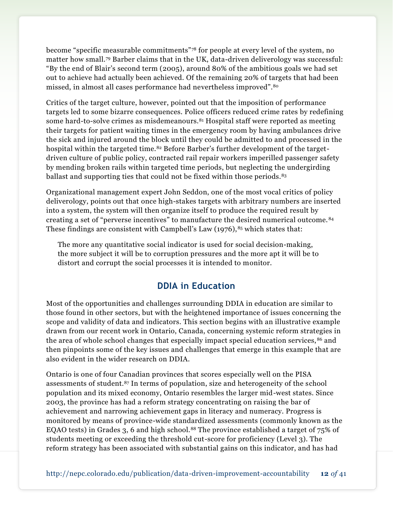become "specific measurable commitments"<sup>78</sup> for people at every level of the system, no matter how small.<sup>79</sup> Barber claims that in the UK, data-driven deliverology was successful: "By the end of Blair's second term (2005), around 80% of the ambitious goals we had set out to achieve had actually been achieved. Of the remaining 20% of targets that had been missed, in almost all cases performance had nevertheless improved".<sup>80</sup>

Critics of the target culture, however, pointed out that the imposition of performance targets led to some bizarre consequences. Police officers reduced crime rates by redefining some hard-to-solve crimes as misdemeanours.<sup>81</sup> Hospital staff were reported as meeting their targets for patient waiting times in the emergency room by having ambulances drive the sick and injured around the block until they could be admitted to and processed in the hospital within the targeted time.<sup>82</sup> Before Barber's further development of the targetdriven culture of public policy, contracted rail repair workers imperilled passenger safety by mending broken rails within targeted time periods, but neglecting the undergirding ballast and supporting ties that could not be fixed within those periods.<sup>83</sup>

Organizational management expert John Seddon, one of the most vocal critics of policy deliverology, points out that once high-stakes targets with arbitrary numbers are inserted into a system, the system will then organize itself to produce the required result by creating a set of "perverse incentives" to manufacture the desired numerical outcome. <sup>84</sup> These findings are consistent with Campbell's Law  $(1976)$ ,  $85$  which states that:

The more any quantitative [social indicator](http://en.wikipedia.org/wiki/Social_indicator) is used for social decision-making, the more subject it will be to corruption pressures and the more apt it will be to distort and corrupt the social processes it is intended to monitor.

## **DDIA in Education**

Most of the opportunities and challenges surrounding DDIA in education are similar to those found in other sectors, but with the heightened importance of issues concerning the scope and validity of data and indicators. This section begins with an illustrative example drawn from our recent work in Ontario, Canada, concerning systemic reform strategies in the area of whole school changes that especially impact special education services, <sup>86</sup> and then pinpoints some of the key issues and challenges that emerge in this example that are also evident in the wider research on DDIA.

Ontario is one of four Canadian provinces that scores especially well on the PISA assessments of student.<sup>87</sup> In terms of population, size and heterogeneity of the school population and its mixed economy, Ontario resembles the larger mid-west states. Since 2003, the province has had a reform strategy concentrating on raising the bar of achievement and narrowing achievement gaps in literacy and numeracy. Progress is monitored by means of province-wide standardized assessments (commonly known as the EQAO tests) in Grades 3, 6 and high school.<sup>88</sup> The province established a target of 75% of students meeting or exceeding the threshold cut-score for proficiency (Level 3). The reform strategy has been associated with substantial gains on this indicator, and has had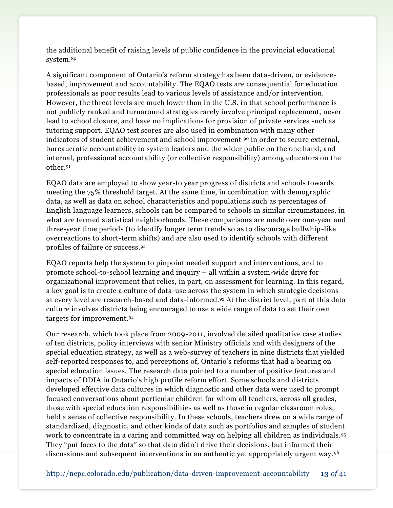the additional benefit of raising levels of public confidence in the provincial educational system.<sup>89</sup>

A significant component of Ontario's reform strategy has been data-driven, or evidencebased, improvement and accountability. The EQAO tests are consequential for education professionals as poor results lead to various levels of assistance and/or intervention. However, the threat levels are much lower than in the U.S. in that school performance is not publicly ranked and turnaround strategies rarely involve principal replacement, never lead to school closure, and have no implications for provision of private services such as tutoring support. EQAO test scores are also used in combination with many other indicators of student achievement and school improvement  $\infty$  in order to secure external, bureaucratic accountability to system leaders and the wider public on the one hand, and internal, professional accountability (or collective responsibility) among educators on the other.<sup>91</sup>

EQAO data are employed to show year-to year progress of districts and schools towards meeting the 75% threshold target. At the same time, in combination with demographic data, as well as data on school characteristics and populations such as percentages of English language learners, schools can be compared to schools in similar circumstances, in what are termed statistical neighborhoods. These comparisons are made over one-year and three-year time periods (to identify longer term trends so as to discourage bullwhip-like overreactions to short-term shifts) and are also used to identify schools with different profiles of failure or success.<sup>92</sup>

EQAO reports help the system to pinpoint needed support and interventions, and to promote school-to-school learning and inquiry – all within a system-wide drive for organizational improvement that relies, in part, on assessment for learning. In this regard, a key goal is to create a culture of data-use across the system in which strategic decisions at every level are research-based and data-informed.<sup>93</sup> At the district level, part of this data culture involves districts being encouraged to use a wide range of data to set their own targets for improvement.<sup>94</sup>

Our research, which took place from 2009-2011, involved detailed qualitative case studies of ten districts, policy interviews with senior Ministry officials and with designers of the special education strategy, as well as a web-survey of teachers in nine districts that yielded self-reported responses to, and perceptions of, Ontario's reforms that had a bearing on special education issues. The research data pointed to a number of positive features and impacts of DDIA in Ontario's high profile reform effort. Some schools and districts developed effective data cultures in which diagnostic and other data were used to prompt focused conversations about particular children for whom all teachers, across all grades, those with special education responsibilities as well as those in regular classroom roles, held a sense of collective responsibility. In these schools, teachers drew on a wide range of standardized, diagnostic, and other kinds of data such as portfolios and samples of student work to concentrate in a caring and committed way on helping all children as individuals.<sup>95</sup> They "put faces to the data" so that data didn't drive their decisions, but informed their discussions and subsequent interventions in an authentic yet appropriately urgent way. <sup>96</sup>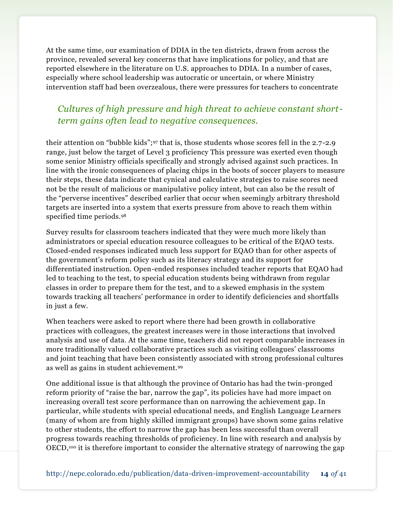At the same time, our examination of DDIA in the ten districts, drawn from across the province, revealed several key concerns that have implications for policy, and that are reported elsewhere in the literature on U.S. approaches to DDIA. In a number of cases, especially where school leadership was autocratic or uncertain, or where Ministry intervention staff had been overzealous, there were pressures for teachers to concentrate

## *Cultures of high pressure and high threat to achieve constant shortterm gains often lead to negative consequences.*

their attention on "bubble kids";<sup>97</sup> that is, those students whose scores fell in the 2.7-2.9 range, just below the target of Level 3 proficiency This pressure was exerted even though some senior Ministry officials specifically and strongly advised against such practices. In line with the ironic consequences of placing chips in the boots of soccer players to measure their steps, these data indicate that cynical and calculative strategies to raise scores need not be the result of malicious or manipulative policy intent, but can also be the result of the "perverse incentives" described earlier that occur when seemingly arbitrary threshold targets are inserted into a system that exerts pressure from above to reach them within specified time periods.<sup>98</sup>

Survey results for classroom teachers indicated that they were much more likely than administrators or special education resource colleagues to be critical of the EQAO tests. Closed-ended responses indicated much less support for EQAO than for other aspects of the government's reform policy such as its literacy strategy and its support for differentiated instruction. Open-ended responses included teacher reports that EQAO had led to teaching to the test, to special education students being withdrawn from regular classes in order to prepare them for the test, and to a skewed emphasis in the system towards tracking all teachers' performance in order to identify deficiencies and shortfalls in just a few.

When teachers were asked to report where there had been growth in collaborative practices with colleagues, the greatest increases were in those interactions that involved analysis and use of data. At the same time, teachers did not report comparable increases in more traditionally valued collaborative practices such as visiting colleagues' classrooms and joint teaching that have been consistently associated with strong professional cultures as well as gains in student achievement.<sup>99</sup>

One additional issue is that although the province of Ontario has had the twin-pronged reform priority of "raise the bar, narrow the gap", its policies have had more impact on increasing overall test score performance than on narrowing the achievement gap. In particular, while students with special educational needs, and English Language Learners (many of whom are from highly skilled immigrant groups) have shown some gains relative to other students, the effort to narrow the gap has been less successful than overall progress towards reaching thresholds of proficiency. In line with research and analysis by OECD,<sup>100</sup> it is therefore important to consider the alternative strategy of narrowing the gap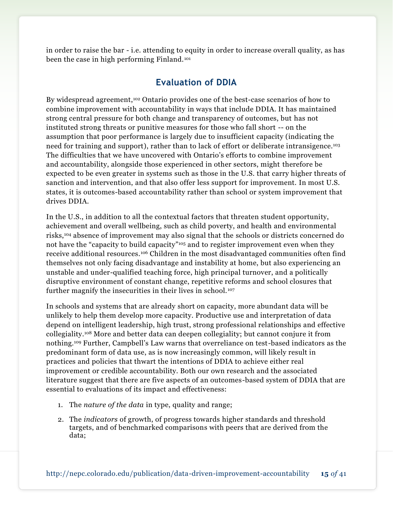in order to raise the bar - i.e. attending to equity in order to increase overall quality, as has been the case in high performing Finland.<sup>101</sup>

## **Evaluation of DDIA**

By widespread agreement, <sup>102</sup> Ontario provides one of the best-case scenarios of how to combine improvement with accountability in ways that include DDIA. It has maintained strong central pressure for both change and transparency of outcomes, but has not instituted strong threats or punitive measures for those who fall short -- on the assumption that poor performance is largely due to insufficient capacity (indicating the need for training and support), rather than to lack of effort or deliberate intransigence.<sup>103</sup> The difficulties that we have uncovered with Ontario's efforts to combine improvement and accountability, alongside those experienced in other sectors, might therefore be expected to be even greater in systems such as those in the U.S. that carry higher threats of sanction and intervention, and that also offer less support for improvement. In most U.S. states, it is outcomes-based accountability rather than school or system improvement that drives DDIA.

In the U.S., in addition to all the contextual factors that threaten student opportunity, achievement and overall wellbeing, such as child poverty, and health and environmental risks,<sup>104</sup> absence of improvement may also signal that the schools or districts concerned do not have the "capacity to build capacity"<sup>105</sup> and to register improvement even when they receive additional resources.<sup>106</sup> Children in the most disadvantaged communities often find themselves not only facing disadvantage and instability at home, but also experiencing an unstable and under-qualified teaching force, high principal turnover, and a politically disruptive environment of constant change, repetitive reforms and school closures that further magnify the insecurities in their lives in school. <sup>107</sup>

In schools and systems that are already short on capacity, more abundant data will be unlikely to help them develop more capacity. Productive use and interpretation of data depend on intelligent leadership, high trust, strong professional relationships and effective collegiality.<sup>108</sup> More and better data can deepen collegiality; but cannot conjure it from nothing.<sup>109</sup> Further, Campbell's Law warns that overreliance on test-based indicators as the predominant form of data use, as is now increasingly common, will likely result in practices and policies that thwart the intentions of DDIA to achieve either real improvement or credible accountability. Both our own research and the associated literature suggest that there are five aspects of an outcomes-based system of DDIA that are essential to evaluations of its impact and effectiveness:

- 1. The *nature of the data* in type, quality and range;
- 2. The *indicators* of growth, of progress towards higher standards and threshold targets, and of benchmarked comparisons with peers that are derived from the data;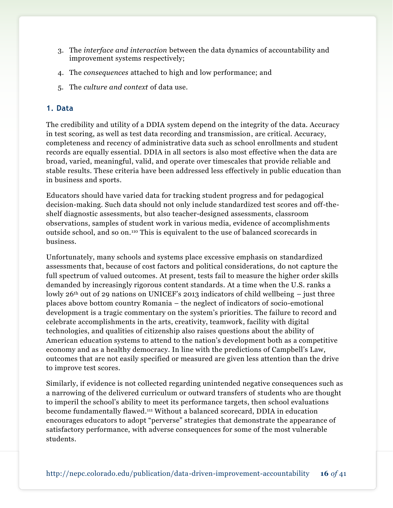- 3. The *interface and interaction* between the data dynamics of accountability and improvement systems respectively;
- 4. The *consequences* attached to high and low performance; and
- 5. The *culture and context* of data use.

#### **1. Data**

The credibility and utility of a DDIA system depend on the integrity of the data. Accuracy in test scoring, as well as test data recording and transmission, are critical. Accuracy, completeness and recency of administrative data such as school enrollments and student records are equally essential. DDIA in all sectors is also most effective when the data are broad, varied, meaningful, valid, and operate over timescales that provide reliable and stable results. These criteria have been addressed less effectively in public education than in business and sports.

Educators should have varied data for tracking student progress and for pedagogical decision-making. Such data should not only include standardized test scores and off-theshelf diagnostic assessments, but also teacher-designed assessments, classroom observations, samples of student work in various media, evidence of accomplishments outside school, and so on.<sup>110</sup> This is equivalent to the use of balanced scorecards in business.

Unfortunately, many schools and systems place excessive emphasis on standardized assessments that, because of cost factors and political considerations, do not capture the full spectrum of valued outcomes. At present, tests fail to measure the higher order skills demanded by increasingly rigorous content standards. At a time when the U.S. ranks a lowly  $26<sup>th</sup>$  out of 29 nations on UNICEF's 2013 indicators of child wellbeing – just three places above bottom country Romania – the neglect of indicators of socio-emotional development is a tragic commentary on the system's priorities. The failure to record and celebrate accomplishments in the arts, creativity, teamwork, facility with digital technologies, and qualities of citizenship also raises questions about the ability of American education systems to attend to the nation's development both as a competitive economy and as a healthy democracy. In line with the predictions of Campbell's Law, outcomes that are not easily specified or measured are given less attention than the drive to improve test scores.

Similarly, if evidence is not collected regarding unintended negative consequences such as a narrowing of the delivered curriculum or outward transfers of students who are thought to imperil the school's ability to meet its performance targets, then school evaluations become fundamentally flawed. <sup>111</sup> Without a balanced scorecard, DDIA in education encourages educators to adopt "perverse" strategies that demonstrate the appearance of satisfactory performance, with adverse consequences for some of the most vulnerable students.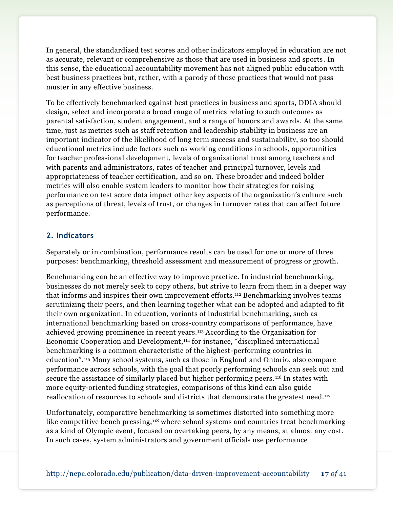In general, the standardized test scores and other indicators employed in education are not as accurate, relevant or comprehensive as those that are used in business and sports. In this sense, the educational accountability movement has not aligned public education with best business practices but, rather, with a parody of those practices that would not pass muster in any effective business.

To be effectively benchmarked against best practices in business and sports, DDIA should design, select and incorporate a broad range of metrics relating to such outcomes as parental satisfaction, student engagement, and a range of honors and awards. At the same time, just as metrics such as staff retention and leadership stability in business are an important indicator of the likelihood of long term success and sustainability, so too should educational metrics include factors such as working conditions in schools, opportunities for teacher professional development, levels of organizational trust among teachers and with parents and administrators, rates of teacher and principal turnover, levels and appropriateness of teacher certification, and so on. These broader and indeed bolder metrics will also enable system leaders to monitor how their strategies for raising performance on test score data impact other key aspects of the organization's culture such as perceptions of threat, levels of trust, or changes in turnover rates that can affect future performance.

#### **2. Indicators**

Separately or in combination, performance results can be used for one or more of three purposes: benchmarking, threshold assessment and measurement of progress or growth.

Benchmarking can be an effective way to improve practice. In industrial benchmarking, businesses do not merely seek to copy others, but strive to learn from them in a deeper way that informs and inspires their own improvement efforts.<sup>112</sup> Benchmarking involves teams scrutinizing their peers, and then learning together what can be adopted and adapted to fit their own organization. In education, variants of industrial benchmarking, such as international benchmarking based on cross-country comparisons of performance, have achieved growing prominence in recent years.<sup>113</sup> According to the Organization for Economic Cooperation and Development,<sup>114</sup> for instance, "disciplined international benchmarking is a common characteristic of the highest-performing countries in education". <sup>115</sup> Many school systems, such as those in England and Ontario, also compare performance across schools, with the goal that poorly performing schools can seek out and secure the assistance of similarly placed but higher performing peers. <sup>116</sup> In states with more equity-oriented funding strategies, comparisons of this kind can also guide reallocation of resources to schools and districts that demonstrate the greatest need.<sup>117</sup>

Unfortunately, comparative benchmarking is sometimes distorted into something more like competitive bench pressing,<sup>118</sup> where school systems and countries treat benchmarking as a kind of Olympic event, focused on overtaking peers, by any means, at almost any cost. In such cases, system administrators and government officials use performance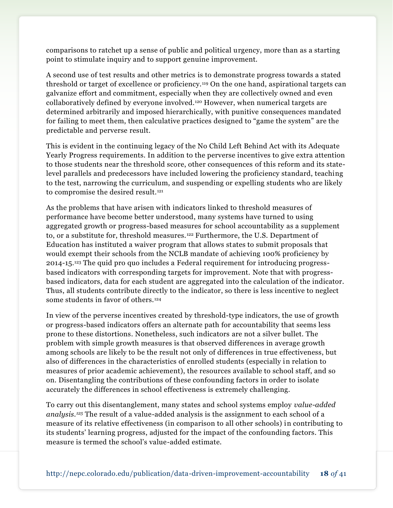comparisons to ratchet up a sense of public and political urgency, more than as a starting point to stimulate inquiry and to support genuine improvement.

A second use of test results and other metrics is to demonstrate progress towards a stated threshold or target of excellence or proficiency.<sup>119</sup> On the one hand, aspirational targets can galvanize effort and commitment, especially when they are collectively owned and even collaboratively defined by everyone involved.<sup>120</sup> However, when numerical targets are determined arbitrarily and imposed hierarchically, with punitive consequences mandated for failing to meet them, then calculative practices designed to "game the system" are the predictable and perverse result.

This is evident in the continuing legacy of the No Child Left Behind Act with its Adequate Yearly Progress requirements. In addition to the perverse incentives to give extra attention to those students near the threshold score, other consequences of this reform and its statelevel parallels and predecessors have included lowering the proficiency standard, teaching to the test, narrowing the curriculum, and suspending or expelling students who are likely to compromise the desired result.<sup>121</sup>

As the problems that have arisen with indicators linked to threshold measures of performance have become better understood, many systems have turned to using aggregated growth or progress-based measures for school accountability as a supplement to, or a substitute for, threshold measures.<sup>122</sup> Furthermore, the U.S. Department of Education has instituted a waiver program that allows states to submit proposals that would exempt their schools from the NCLB mandate of achieving 100% proficiency by 2014-15. <sup>123</sup> The quid pro quo includes a Federal requirement for introducing progressbased indicators with corresponding targets for improvement. Note that with progressbased indicators, data for each student are aggregated into the calculation of the indicator. Thus, all students contribute directly to the indicator, so there is less incentive to neglect some students in favor of others.<sup>124</sup>

In view of the perverse incentives created by threshold-type indicators, the use of growth or progress-based indicators offers an alternate path for accountability that seems less prone to these distortions. Nonetheless, such indicators are not a silver bullet. The problem with simple growth measures is that observed differences in average growth among schools are likely to be the result not only of differences in true effectiveness, but also of differences in the characteristics of enrolled students (especially in relation to measures of prior academic achievement), the resources available to school staff, and so on. Disentangling the contributions of these confounding factors in order to isolate accurately the differences in school effectiveness is extremely challenging.

To carry out this disentanglement, many states and school systems employ *value-added analysis.<sup>125</sup>* The result of a value-added analysis is the assignment to each school of a measure of its relative effectiveness (in comparison to all other schools) in contributing to its students' learning progress, adjusted for the impact of the confounding factors. This measure is termed the school's value-added estimate.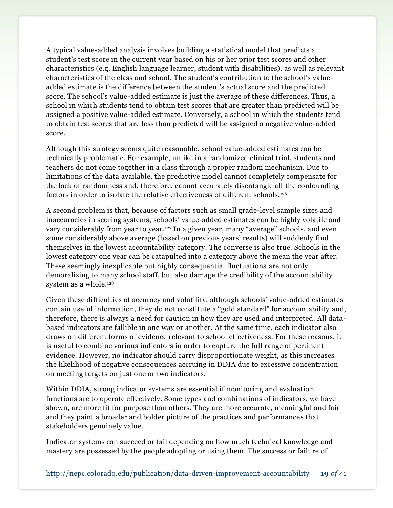A typical value-added analysis involves building a statistical model that predicts a student's test score in the current year based on his or her prior test scores and other characteristics (e.g. English language learner, student with disabilities), as well as relevant characteristics of the class and school. The student's contribution to the school's valueadded estimate is the difference between the student's actual score and the predicted score. The school's value-added estimate is just the average of these differences. Thus, a school in which students tend to obtain test scores that are greater than predicted will be assigned a positive value-added estimate. Conversely, a school in which the students tend to obtain test scores that are less than predicted will be assigned a negative value-added score.

Although this strategy seems quite reasonable, school value-added estimates can be technically problematic. For example, unlike in a randomized clinical trial, students and teachers do not come together in a class through a proper random mechanism. Due to limitations of the data available, the predictive model cannot completely compensate for the lack of randomness and, therefore, cannot accurately disentangle all the confounding factors in order to isolate the relative effectiveness of different schools.<sup>126</sup>

A second problem is that, because of factors such as small grade-level sample sizes and inaccuracies in scoring systems, schools' value-added estimates can be highly volatile and vary considerably from year to year. <sup>127</sup> In a given year, many "average" schools, and even some considerably above average (based on previous years' results) will suddenly find themselves in the lowest accountability category. The converse is also true. Schools in the lowest category one year can be catapulted into a category above the mean the year after. These seemingly inexplicable but highly consequential fluctuations are not only demoralizing to many school staff, but also damage the credibility of the accountability system as a whole. 128

Given these difficulties of accuracy and volatility, although schools' value-added estimates contain useful information, they do not constitute a "gold standard" for accountability and, therefore, there is always a need for caution in how they are used and interpreted. All databased indicators are fallible in one way or another. At the same time, each indicator also draws on different forms of evidence relevant to school effectiveness. For these reasons, it is useful to combine various indicators in order to capture the full range of pertinent evidence. However, no indicator should carry disproportionate weight, as this increases the likelihood of negative consequences accruing in DDIA due to excessive concentration on meeting targets on just one or two indicators.

Within DDIA, strong indicator systems are essential if monitoring and evaluation functions are to operate effectively. Some types and combinations of indicators, we have shown, are more fit for purpose than others. They are more accurate, meaningful and fair and they paint a broader and bolder picture of the practices and performances that stakeholders genuinely value.

Indicator systems can succeed or fail depending on how much technical knowledge and mastery are possessed by the people adopting or using them. The success or failure of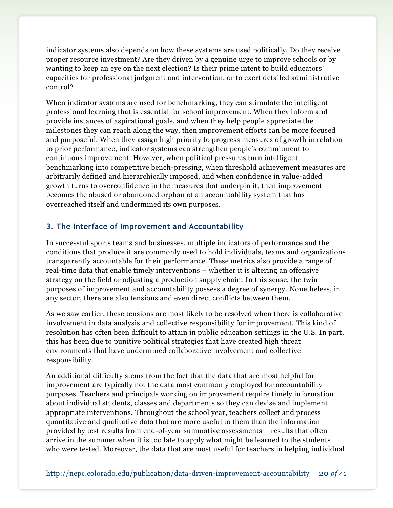indicator systems also depends on how these systems are used politically. Do they receive proper resource investment? Are they driven by a genuine urge to improve schools or by wanting to keep an eye on the next election? Is their prime intent to build educators' capacities for professional judgment and intervention, or to exert detailed administrative control?

When indicator systems are used for benchmarking, they can stimulate the intelligent professional learning that is essential for school improvement. When they inform and provide instances of aspirational goals, and when they help people appreciate the milestones they can reach along the way, then improvement efforts can be more focused and purposeful. When they assign high priority to progress measures of growth in relation to prior performance, indicator systems can strengthen people's commitment to continuous improvement. However, when political pressures turn intelligent benchmarking into competitive bench-pressing, when threshold achievement measures are arbitrarily defined and hierarchically imposed, and when confidence in value-added growth turns to overconfidence in the measures that underpin it, then improvement becomes the abused or abandoned orphan of an accountability system that has overreached itself and undermined its own purposes.

#### **3. The Interface of Improvement and Accountability**

In successful sports teams and businesses, multiple indicators of performance and the conditions that produce it are commonly used to hold individuals, teams and organizations transparently accountable for their performance. These metrics also provide a range of real-time data that enable timely interventions – whether it is altering an offensive strategy on the field or adjusting a production supply chain. In this sense, the twin purposes of improvement and accountability possess a degree of synergy. Nonetheless, in any sector, there are also tensions and even direct conflicts between them.

As we saw earlier, these tensions are most likely to be resolved when there is collaborative involvement in data analysis and collective responsibility for improvement. This kind of resolution has often been difficult to attain in public education settings in the U.S. In part, this has been due to punitive political strategies that have created high threat environments that have undermined collaborative involvement and collective responsibility.

An additional difficulty stems from the fact that the data that are most helpful for improvement are typically not the data most commonly employed for accountability purposes. Teachers and principals working on improvement require timely information about individual students, classes and departments so they can devise and implement appropriate interventions. Throughout the school year, teachers collect and process quantitative and qualitative data that are more useful to them than the information provided by test results from end-of-year summative assessments – results that often arrive in the summer when it is too late to apply what might be learned to the students who were tested. Moreover, the data that are most useful for teachers in helping individual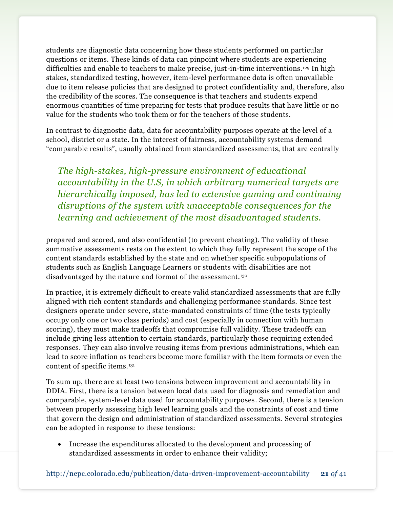students are diagnostic data concerning how these students performed on particular questions or items. These kinds of data can pinpoint where students are experiencing difficulties and enable to teachers to make precise, just-in-time interventions.<sup>129</sup> In high stakes, standardized testing, however, item-level performance data is often unavailable due to item release policies that are designed to protect confidentiality and, therefore, also the credibility of the scores. The consequence is that teachers and students expend enormous quantities of time preparing for tests that produce results that have little or no value for the students who took them or for the teachers of those students.

In contrast to diagnostic data, data for accountability purposes operate at the level of a school, district or a state. In the interest of fairness, accountability systems demand "comparable results", usually obtained from standardized assessments, that are centrally

*The high-stakes, high-pressure environment of educational accountability in the U.S, in which arbitrary numerical targets are hierarchically imposed, has led to extensive gaming and continuing disruptions of the system with unacceptable consequences for the learning and achievement of the most disadvantaged students.*

prepared and scored, and also confidential (to prevent cheating). The validity of these summative assessments rests on the extent to which they fully represent the scope of the content standards established by the state and on whether specific subpopulations of students such as English Language Learners or students with disabilities are not disadvantaged by the nature and format of the assessment.<sup>130</sup>

In practice, it is extremely difficult to create valid standardized assessments that are fully aligned with rich content standards and challenging performance standards. Since test designers operate under severe, state-mandated constraints of time (the tests typically occupy only one or two class periods) and cost (especially in connection with human scoring), they must make tradeoffs that compromise full validity. These tradeoffs can include giving less attention to certain standards, particularly those requiring extended responses. They can also involve reusing items from previous administrations, which can lead to score inflation as teachers become more familiar with the item formats or even the content of specific items.<sup>131</sup>

To sum up, there are at least two tensions between improvement and accountability in DDIA. First, there is a tension between local data used for diagnosis and remediation and comparable, system-level data used for accountability purposes. Second, there is a tension between properly assessing high level learning goals and the constraints of cost and time that govern the design and administration of standardized assessments. Several strategies can be adopted in response to these tensions:

 Increase the expenditures allocated to the development and processing of standardized assessments in order to enhance their validity;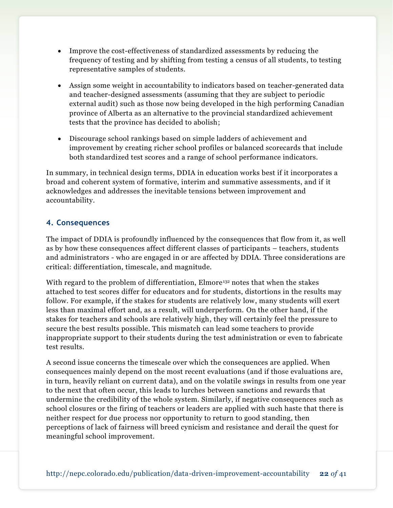- Improve the cost-effectiveness of standardized assessments by reducing the frequency of testing and by shifting from testing a census of all students, to testing representative samples of students.
- Assign some weight in accountability to indicators based on teacher-generated data and teacher-designed assessments (assuming that they are subject to periodic external audit) such as those now being developed in the high performing Canadian province of Alberta as an alternative to the provincial standardized achievement tests that the province has decided to abolish;
- Discourage school rankings based on simple ladders of achievement and improvement by creating richer school profiles or balanced scorecards that include both standardized test scores and a range of school performance indicators.

In summary, in technical design terms, DDIA in education works best if it incorporates a broad and coherent system of formative, interim and summative assessments, and if it acknowledges and addresses the inevitable tensions between improvement and accountability.

### **4. Consequences**

The impact of DDIA is profoundly influenced by the consequences that flow from it, as well as by how these consequences affect different classes of participants – teachers, students and administrators - who are engaged in or are affected by DDIA. Three considerations are critical: differentiation, timescale, and magnitude.

With regard to the problem of differentiation, Elmore<sup>132</sup> notes that when the stakes attached to test scores differ for educators and for students, distortions in the results may follow. For example, if the stakes for students are relatively low, many students will exert less than maximal effort and, as a result, will underperform. On the other hand, if the stakes for teachers and schools are relatively high, they will certainly feel the pressure to secure the best results possible. This mismatch can lead some teachers to provide inappropriate support to their students during the test administration or even to fabricate test results.

A second issue concerns the timescale over which the consequences are applied. When consequences mainly depend on the most recent evaluations (and if those evaluations are, in turn, heavily reliant on current data), and on the volatile swings in results from one year to the next that often occur, this leads to lurches between sanctions and rewards that undermine the credibility of the whole system. Similarly, if negative consequences such as school closures or the firing of teachers or leaders are applied with such haste that there is neither respect for due process nor opportunity to return to good standing, then perceptions of lack of fairness will breed cynicism and resistance and derail the quest for meaningful school improvement.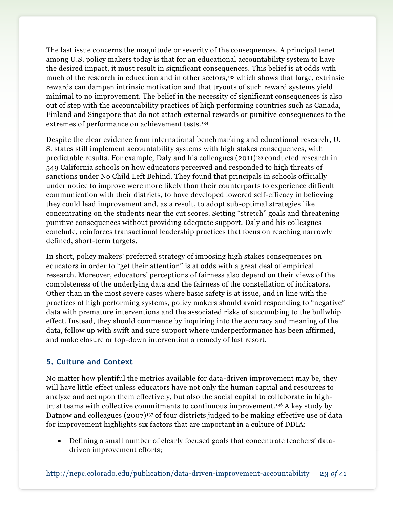The last issue concerns the magnitude or severity of the consequences. A principal tenet among U.S. policy makers today is that for an educational accountability system to have the desired impact, it must result in significant consequences. This belief is at odds with much of the research in education and in other sectors,<sup>133</sup> which shows that large, extrinsic rewards can dampen intrinsic motivation and that tryouts of such reward systems yield minimal to no improvement. The belief in the necessity of significant consequences is also out of step with the accountability practices of high performing countries such as Canada, Finland and Singapore that do not attach external rewards or punitive consequences to the extremes of performance on achievement tests.<sup>134</sup>

Despite the clear evidence from international benchmarking and educational research, U. S. states still implement accountability systems with high stakes consequences, with predictable results. For example, Daly and his colleagues (2011)<sup>135</sup> conducted research in 549 California schools on how educators perceived and responded to high threats of sanctions under No Child Left Behind. They found that principals in schools officially under notice to improve were more likely than their counterparts to experience difficult communication with their districts, to have developed lowered self-efficacy in believing they could lead improvement and, as a result, to adopt sub-optimal strategies like concentrating on the students near the cut scores. Setting "stretch" goals and threatening punitive consequences without providing adequate support, Daly and his colleagues conclude, reinforces transactional leadership practices that focus on reaching narrowly defined, short-term targets.

In short, policy makers' preferred strategy of imposing high stakes consequences on educators in order to "get their attention" is at odds with a great deal of empirical research. Moreover, educators' perceptions of fairness also depend on their views of the completeness of the underlying data and the fairness of the constellation of indicators. Other than in the most severe cases where basic safety is at issue, and in line with the practices of high performing systems, policy makers should avoid responding to "negative" data with premature interventions and the associated risks of succumbing to the bullwhip effect. Instead, they should commence by inquiring into the accuracy and meaning of the data, follow up with swift and sure support where underperformance has been affirmed, and make closure or top-down intervention a remedy of last resort.

### **5. Culture and Context**

No matter how plentiful the metrics available for data-driven improvement may be, they will have little effect unless educators have not only the human capital and resources to analyze and act upon them effectively, but also the social capital to collaborate in hightrust teams with collective commitments to continuous improvement.<sup>136</sup> A key study by Datnow and colleagues (2007)<sup>137</sup> of four districts judged to be making effective use of data for improvement highlights six factors that are important in a culture of DDIA:

 Defining a small number of clearly focused goals that concentrate teachers' datadriven improvement efforts;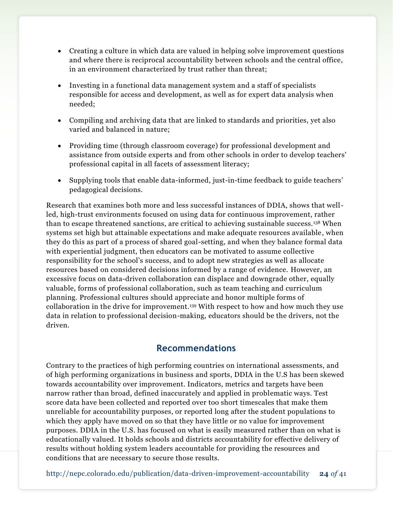- Creating a culture in which data are valued in helping solve improvement questions and where there is reciprocal accountability between schools and the central office, in an environment characterized by trust rather than threat;
- Investing in a functional data management system and a staff of specialists responsible for access and development, as well as for expert data analysis when needed;
- Compiling and archiving data that are linked to standards and priorities, yet also varied and balanced in nature;
- Providing time (through classroom coverage) for professional development and assistance from outside experts and from other schools in order to develop teachers' professional capital in all facets of assessment literacy;
- Supplying tools that enable data-informed, just-in-time feedback to guide teachers' pedagogical decisions.

Research that examines both more and less successful instances of DDIA, shows that wellled, high-trust environments focused on using data for continuous improvement, rather than to escape threatened sanctions, are critical to achieving sustainable success.<sup>138</sup> When systems set high but attainable expectations and make adequate resources available, when they do this as part of a process of shared goal-setting, and when they balance formal data with experiential judgment, then educators can be motivated to assume collective responsibility for the school's success, and to adopt new strategies as well as allocate resources based on considered decisions informed by a range of evidence. However, an excessive focus on data-driven collaboration can displace and downgrade other, equally valuable, forms of professional collaboration, such as team teaching and curriculum planning. Professional cultures should appreciate and honor multiple forms of collaboration in the drive for improvement.<sup>139</sup> With respect to how and how much they use data in relation to professional decision-making, educators should be the drivers, not the driven.

### **Recommendations**

Contrary to the practices of high performing countries on international assessments, and of high performing organizations in business and sports, DDIA in the U.S has been skewed towards accountability over improvement. Indicators, metrics and targets have been narrow rather than broad, defined inaccurately and applied in problematic ways. Test score data have been collected and reported over too short timescales that make them unreliable for accountability purposes, or reported long after the student populations to which they apply have moved on so that they have little or no value for improvement purposes. DDIA in the U.S. has focused on what is easily measured rather than on what is educationally valued. It holds schools and districts accountability for effective delivery of results without holding system leaders accountable for providing the resources and conditions that are necessary to secure those results.

http://nepc.colorado.edu/publication/data-driven-improvement-accountability **24** *of* 41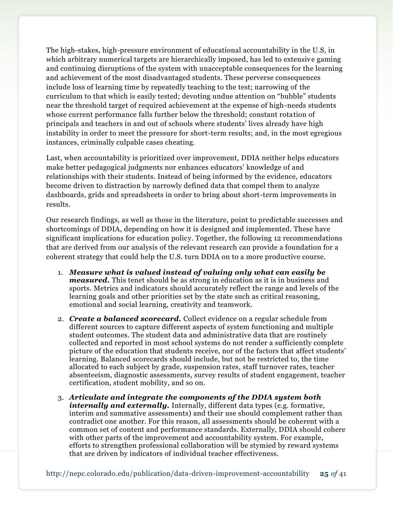The high-stakes, high-pressure environment of educational accountability in the U.S, in which arbitrary numerical targets are hierarchically imposed, has led to extensive gaming and continuing disruptions of the system with unacceptable consequences for the learning and achievement of the most disadvantaged students. These perverse consequences include loss of learning time by repeatedly teaching to the test; narrowing of the curriculum to that which is easily tested; devoting undue attention on "bubble" students near the threshold target of required achievement at the expense of high-needs students whose current performance falls further below the threshold; constant rotation of principals and teachers in and out of schools where students' lives already have high instability in order to meet the pressure for short-term results; and, in the most egregious instances, criminally culpable cases cheating.

Last, when accountability is prioritized over improvement, DDIA neither helps educators make better pedagogical judgments nor enhances educators' knowledge of and relationships with their students. Instead of being informed by the evidence, educators become driven to distraction by narrowly defined data that compel them to analyze dashboards, grids and spreadsheets in order to bring about short-term improvements in results.

Our research findings, as well as those in the literature, point to predictable successes and shortcomings of DDIA, depending on how it is designed and implemented. These have significant implications for education policy. Together, the following 12 recommendations that are derived from our analysis of the relevant research can provide a foundation for a coherent strategy that could help the U.S. turn DDIA on to a more productive course.

- 1. *Measure what is valued instead of valuing only what can easily be measured.* This tenet should be as strong in education as it is in business and sports. Metrics and indicators should accurately reflect the range and levels of the learning goals and other priorities set by the state such as critical reasoning, emotional and social learning, creativity and teamwork.
- 2. *Create a balanced scorecard.* Collect evidence on a regular schedule from different sources to capture different aspects of system functioning and multiple student outcomes. The student data and administrative data that are routinely collected and reported in most school systems do not render a sufficiently complete picture of the education that students receive, nor of the factors that affect students' learning. Balanced scorecards should include, but not be restricted to, the time allocated to each subject by grade, suspension rates, staff turnover rates, teacher absenteeism, diagnostic assessments, survey results of student engagement, teacher certification, student mobility, and so on.
- 3. *Articulate and integrate the components of the DDIA system both internally and externally.* Internally, different data types (e.g. formative, interim and summative assessments) and their use should complement rather than contradict one another. For this reason, all assessments should be coherent with a common set of content and performance standards. Externally, DDIA should cohere with other parts of the improvement and accountability system. For example, efforts to strengthen professional collaboration will be stymied by reward systems that are driven by indicators of individual teacher effectiveness.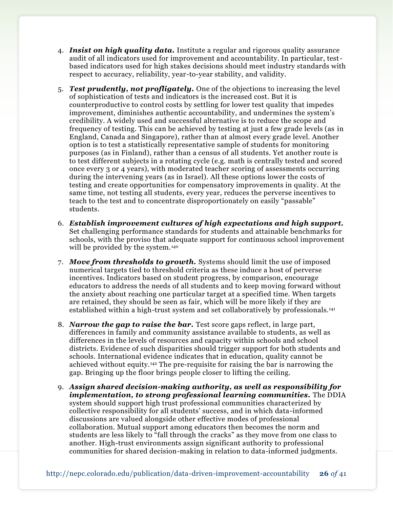- 4. *Insist on high quality data.* Institute a regular and rigorous quality assurance audit of all indicators used for improvement and accountability. In particular, testbased indicators used for high stakes decisions should meet industry standards with respect to accuracy, reliability, year-to-year stability, and validity.
- 5. *Test prudently, not profligately.* One of the objections to increasing the level of sophistication of tests and indicators is the increased cost. But it is counterproductive to control costs by settling for lower test quality that impedes improvement, diminishes authentic accountability, and undermines the system's credibility. A widely used and successful alternative is to reduce the scope and frequency of testing. This can be achieved by testing at just a few grade levels (as in England, Canada and Singapore), rather than at almost every grade level. Another option is to test a statistically representative sample of students for monitoring purposes (as in Finland), rather than a census of all students. Yet another route is to test different subjects in a rotating cycle (e.g. math is centrally tested and scored once every 3 or 4 years), with moderated teacher scoring of assessments occurring during the intervening years (as in Israel). All these options lower the costs of testing and create opportunities for compensatory improvements in quality. At the same time, not testing all students, every year, reduces the perverse incentives to teach to the test and to concentrate disproportionately on easily "passable" students.
- 6. *Establish improvement cultures of high expectations and high support.*  Set challenging performance standards for students and attainable benchmarks for schools, with the proviso that adequate support for continuous school improvement will be provided by the system.<sup>140</sup>
- 7. *Move from thresholds to growth.* Systems should limit the use of imposed numerical targets tied to threshold criteria as these induce a host of perverse incentives. Indicators based on student progress, by comparison, encourage educators to address the needs of all students and to keep moving forward without the anxiety about reaching one particular target at a specified time. When targets are retained, they should be seen as fair, which will be more likely if they are established within a high-trust system and set collaboratively by professionals.<sup>141</sup>
- 8. *Narrow the gap to raise the bar.* Test score gaps reflect, in large part, differences in family and community assistance available to students, as well as differences in the levels of resources and capacity within schools and school districts. Evidence of such disparities should trigger support for both students and schools. International evidence indicates that in education, quality cannot be achieved without equity.<sup>142</sup> The pre-requisite for raising the bar is narrowing the gap. Bringing up the floor brings people closer to lifting the ceiling.
- 9. *Assign shared decision-making authority, as well as responsibility for implementation, to strong professional learning communities.* The DDIA system should support high trust professional communities characterized by collective responsibility for all students' success, and in which data-informed discussions are valued alongside other effective modes of professional collaboration. Mutual support among educators then becomes the norm and students are less likely to "fall through the cracks" as they move from one class to another. High-trust environments assign significant authority to professional communities for shared decision-making in relation to data-informed judgments.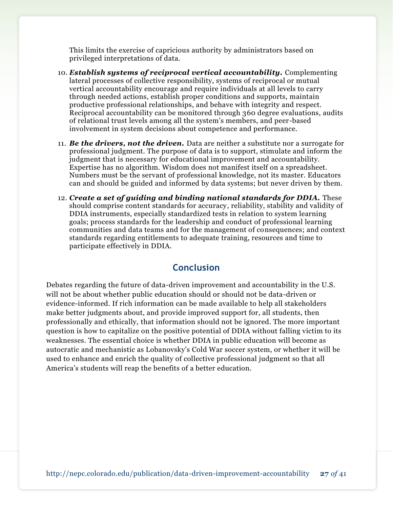This limits the exercise of capricious authority by administrators based on privileged interpretations of data.

- 10. *Establish systems of reciprocal vertical accountability.* Complementing lateral processes of collective responsibility, systems of reciprocal or mutual vertical accountability encourage and require individuals at all levels to carry through needed actions, establish proper conditions and supports, maintain productive professional relationships, and behave with integrity and respect. Reciprocal accountability can be monitored through 360 degree evaluations, audits of relational trust levels among all the system's members, and peer-based involvement in system decisions about competence and performance.
- 11. *Be the drivers, not the driven.* Data are neither a substitute nor a surrogate for professional judgment. The purpose of data is to support, stimulate and inform the judgment that is necessary for educational improvement and accountability. Expertise has no algorithm. Wisdom does not manifest itself on a spreadsheet. Numbers must be the servant of professional knowledge, not its master. Educators can and should be guided and informed by data systems; but never driven by them.
- 12. *Create a set of guiding and binding national standards for DDIA.* These should comprise content standards for accuracy, reliability, stability and validity of DDIA instruments, especially standardized tests in relation to system learning goals; process standards for the leadership and conduct of professional learning communities and data teams and for the management of consequences; and context standards regarding entitlements to adequate training, resources and time to participate effectively in DDIA.

### **Conclusion**

Debates regarding the future of data-driven improvement and accountability in the U.S. will not be about whether public education should or should not be data-driven or evidence-informed. If rich information can be made available to help all stakeholders make better judgments about, and provide improved support for, all students, then professionally and ethically, that information should not be ignored. The more important question is how to capitalize on the positive potential of DDIA without falling victim to its weaknesses. The essential choice is whether DDIA in public education will become as autocratic and mechanistic as Lobanovsky's Cold War soccer system, or whether it will be used to enhance and enrich the quality of collective professional judgment so that all America's students will reap the benefits of a better education.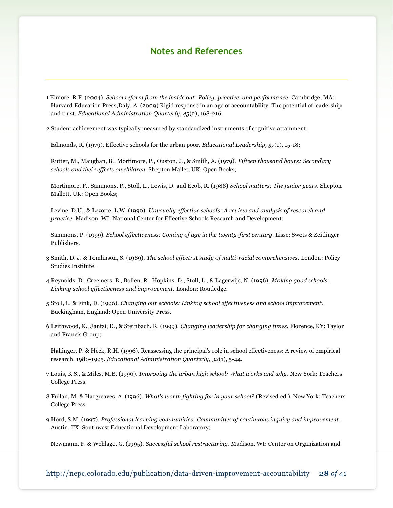### **Notes and References**

1 Elmore, R.F. (2004). *School reform from the inside out: Policy, practice, and performance*. Cambridge, MA: Harvard Education Press;Daly, A. (2009) Rigid response in an age of accountability: The potential of leadership and trust. *Educational Administration Quarterly, 45*(2), 168-216.

2 Student achievement was typically measured by standardized instruments of cognitive attainment.

Edmonds, R. (1979). Effective schools for the urban poor. *Educational Leadership, 37*(1), 15-18;

Rutter, M., Maughan, B., Mortimore, P., Ouston, J., & Smith, A. (1979). *Fifteen thousand hours: Secondary schools and their effects on children*. Shepton Mallet, UK: Open Books;

Mortimore, P., Sammons, P., Stoll, L., Lewis, D. and Ecob, R. (1988) *School matters: The junior years*. Shepton Mallett, UK: Open Books;

Levine, D.U., & Lezotte, L.W. (1990). *Unusually effective schools: A review and analysis of research and practice.* Madison, WI: National Center for Effective Schools Research and Development;

Sammons, P. (1999). *School effectiveness: Coming of age in the twenty-first century*. Lisse: Swets & Zeitlinger Publishers.

3 Smith, D. J. & Tomlinson, S. (1989). *The school effect: A study of multi-racial comprehensives*. London: Policy Studies Institute.

4 Reynolds, D., Creemers, B., Bollen, R., Hopkins, D., Stoll, L., & Lagerwijs, N. (1996). *Making good schools: Linking school effectiveness and improvement*. London: Routledge.

5 Stoll, L. & Fink, D. (1996). *Changing our schools: Linking school effectiveness and school improvement*. Buckingham, England: Open University Press.

6 Leithwood, K., Jantzi, D., & Steinbach, R. (1999). *Changing leadership for changing times.* Florence, KY: Taylor and Francis Group;

Hallinger, P. & Heck, R.H. (1996). Reassessing the principal's role in school effectiveness: A review of empirical research, 1980-1995. *Educational Administration Quarterly*, *32*(1), 5-44.

7 Louis, K.S., & Miles, M.B. (1990). *Improving the urban high school: What works and why*. New York: Teachers College Press.

8 Fullan, M. & Hargreaves, A. (1996). *What's worth fighting for in your school?* (Revised ed.). New York: Teachers College Press.

9 Hord, S.M. (1997). *Professional learning communities: Communities of continuous inquiry and improvement*. Austin, TX: Southwest Educational Development Laboratory;

Newmann, F. & Wehlage, G. (1995). *Successful school restructuring*. Madison, WI: Center on Organization and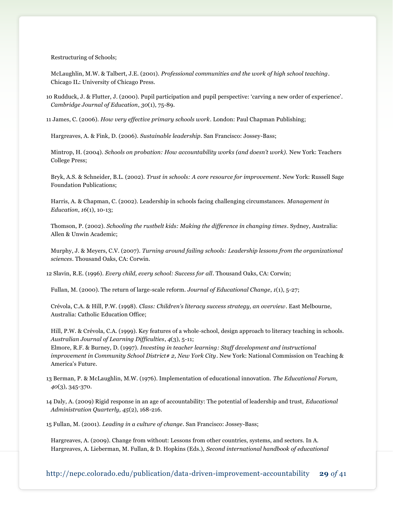Restructuring of Schools;

McLaughlin, M.W. & Talbert, J.E. (2001). *Professional communities and the work of high school teaching*. Chicago IL: University of Chicago Press.

10 Rudduck, J. & Flutter, J. (2000). Pupil participation and pupil perspective: 'carving a new order of experience'. *Cambridge Journal of Education*, *30*(1), 75-89.

11 James, C. (2006). *How very effective primary schools work*. London: Paul Chapman Publishing;

Hargreaves, A. & Fink, D. (2006). *Sustainable leadership*. San Francisco: Jossey-Bass;

Mintrop, H. (2004). *Schools on probation: How accountability works (and doesn't work).* New York: Teachers College Press;

Bryk, A.S. & Schneider, B.L. (2002). *Trust in schools: A core resource for improvement*. New York: Russell Sage Foundation Publications;

Harris, A. & Chapman, C. (2002). Leadership in schools facing challenging circumstances. *Management in Education*, *16*(1), 10-13;

Thomson, P. (2002). *Schooling the rustbelt kids: Making the difference in changing times*. Sydney, Australia: Allen & Unwin Academic;

Murphy, J. & Meyers, C.V. (2007). *Turning around failing schools: Leadership lessons from the organizational sciences*. Thousand Oaks, CA: Corwin.

12 Slavin, R.E. (1996). *Every child, every school: Success for all*. Thousand Oaks, CA: Corwin;

Fullan, M. (2000). The return of large-scale reform. *Journal of Educational Change*, *1*(1), 5-27;

Crévola, C.A. & Hill, P.W. (1998). *Class: Children's literacy success strategy, an overview*. East Melbourne, Australia: Catholic Education Office;

Hill, P.W. & Crévola, C.A. (1999). Key features of a whole‐school, design approach to literacy teaching in schools. *Australian Journal of Learning Difficulties*, *4*(3), 5-11;

Elmore, R.F. & Burney, D. (1997). *Investing in teacher learning: Staff development and instructional improvement in Community School District# 2, New York City*. New York: National Commission on Teaching & America's Future.

- 13 Berman, P. & McLaughlin, M.W. (1976). Implementation of educational innovation. *The Educational Forum, 40*(3), 345-370.
- 14 Daly, A. (2009) Rigid response in an age of accountability: The potential of leadership and trust, *Educational Administration Quarterly, 45*(2), 168-216.

15 Fullan, M. (2001). *Leading in a culture of change*. San Francisco: Jossey-Bass;

Hargreaves, A. (2009). Change from without: Lessons from other countries, systems, and sectors. In A. Hargreaves, A. Lieberman, M. Fullan, & D. Hopkins (Eds.), *Second international handbook of educational*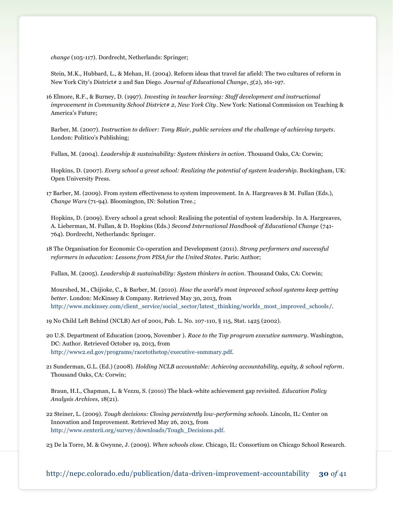*change* (105-117). Dordrecht, Netherlands: Springer;

Stein, M.K., Hubbard, L., & Mehan, H. (2004). Reform ideas that travel far afield: The two cultures of reform in New York City's District# 2 and San Diego. *Journal of Educational Change*, *5*(2), 161-197.

16 Elmore, R.F., & Burney, D. (1997). *Investing in teacher learning: Staff development and instructional improvement in Community School District# 2, New York City*. New York: National Commission on Teaching & America's Future;

Barber, M. (2007). *Instruction to deliver: Tony Blair, public services and the challenge of achieving targets*. London: Politico's Publishing;

Fullan, M. (2004). *Leadership & sustainability: System thinkers in action*. Thousand Oaks, CA: Corwin;

Hopkins, D. (2007). *Every school a great school: Realizing the potential of system leadership*. Buckingham, UK: Open University Press.

17 Barber, M. (2009). From system effectiveness to system improvement. In A. Hargreaves & M. Fullan (Eds.), *Change Wars* (71-94). Bloomington, IN: Solution Tree.;

Hopkins, D. (2009). Every school a great school: Realising the potential of system leadership. In A. Hargreaves, A. Lieberman, M. Fullan, & D. Hopkins (Eds.) *Second International Handbook of Educational Change* (741- 764). Dordrecht, Netherlands: Springer.

18 The Organisation for Economic Co-operation and Development (2011). *Strong performers and successful reformers in education: Lessons from PISA for the United States*. Paris: Author;

Fullan, M. (2005). *Leadership & sustainability: System thinkers in action*. Thousand Oaks, CA: Corwin;

Mourshed, M., Chijioke, C., & Barber, M. (2010). *How the world's most improved school systems keep getting better*. London: McKinsey & Company. Retrieved May 30, 2013, from http://www.mckinsey.com/client\_service/social\_sector/latest\_thinking/worlds\_most\_improved\_schools/.

19 No Child Left Behind (NCLB) Act of 2001, Pub. L. No. 107-110, § 115, Stat. 1425 (2002).

- 20 U.S. Department of Education (2009, November ). *Race to the Top program executive summary*. Washington, DC: Author. Retrieved October 19, 2013, from [http://www2.ed.gov/programs/racetothetop/executive-summary.pdf.](http://www2.ed.gov/programs/racetothetop/executive-summary.pdf)
- 21 Sunderman, G.L. (Ed.) (2008). *Holding NCLB accountable: Achieving accountability, equity, & school reform*. Thousand Oaks, CA: Corwin;

Braun, H.I., Chapman, L. & Vezzu, S. (2010) The black-white achievement gap revisited. *Education Policy Analysis Archives*, 18(21).

22 Steiner, L. (2009). *Tough decisions: Closing persistently low-performing schools.* Lincoln, IL: Center on Innovation and Improvement. Retrieved May 26, 2013, from [http://www.centerii.org/survey/downloads/Tough\\_Decisions.pdf.](http://www.centerii.org/survey/downloads/Tough_Decisions.pdf)

23 De la Torre, M. & Gwynne, J. (2009). *When schools close.* Chicago, IL: Consortium on Chicago School Research.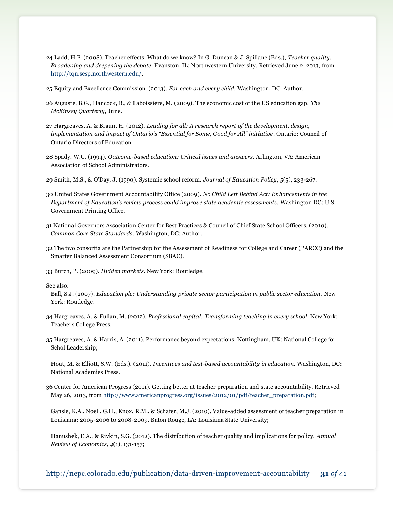- 24 Ladd, H.F. (2008). Teacher effects: What do we know? In G. Duncan & J. Spillane (Eds.), *Teacher quality: Broadening and deepening the debate*. Evanston, IL: Northwestern University. Retrieved June 2, 2013, from [http://tqn.sesp.northwestern.edu/.](http://tqn.sesp.northwestern.edu/)
- 25 Equity and Excellence Commission. (2013). *For each and every child.* Washington, DC: Author.
- 26 Auguste, B.G., Hancock, B., & Laboissière, M. (2009). The economic cost of the US education gap. *The McKinsey Quarterly*, June.
- 27 Hargreaves, A. & Braun, H. (2012). *Leading for all: A research report of the development, design, implementation and impact of Ontario's "Essential for Some, Good for All" initiative*. Ontario: Council of Ontario Directors of Education.
- 28 Spady, W.G. (1994). *Outcome-based education: Critical issues and answers*. Arlington, VA: American Association of School Administrators.
- 29 Smith, M.S., & O'Day, J. (1990). Systemic school reform. *Journal of Education Policy*, *5*(5), 233-267.
- 30 United States Government Accountability Office (2009). *No Child Left Behind Act: Enhancements in the Department of Education's review process could improve state academic assessments.* Washington DC: U.S. Government Printing Office.
- 31 National Governors Association Center for Best Practices & Council of Chief State School Officers. (2010). *Common Core State Standards*. Washington, DC: Author.
- 32 The two consortia are the Partnership for the Assessment of Readiness for College and Career (PARCC) and the Smarter Balanced Assessment Consortium (SBAC).
- 33 Burch, P. (2009). *Hidden markets*. New York: Routledge.

See also:

- Ball, S.J. (2007). *Education plc: Understanding private sector participation in public sector education*. New York: Routledge.
- 34 Hargreaves, A. & Fullan, M. (2012). *Professional capital: Transforming teaching in every school*. New York: Teachers College Press.
- 35 Hargreaves, A. & Harris, A. (2011). Performance beyond expectations. Nottingham, UK: National College for Schol Leadership;
	- Hout, M. & Elliott, S.W. (Eds.). (2011). *Incentives and test-based accountability in education.* Washington, DC: National Academies Press.
- 36 Center for American Progress (2011). Getting better at teacher preparation and state accountability. Retrieved May 26, 2013, from [http://www.americanprogress.org/issues/2012/01/pdf/teacher\\_preparation.pdf;](http://www.americanprogress.org/issues/2012/01/pdf/teacher_preparation.pdf)
	- Gansle, K.A., Noell, G.H., Knox, R.M., & Schafer, M.J. (2010). Value-added assessment of teacher preparation in Louisiana: 2005-2006 to 2008-2009. Baton Rouge, LA: Louisiana State University;
	- Hanushek, E.A., & Rivkin, S.G. (2012). The distribution of teacher quality and implications for policy. *Annual Review of Economics, 4*(1), 131-157;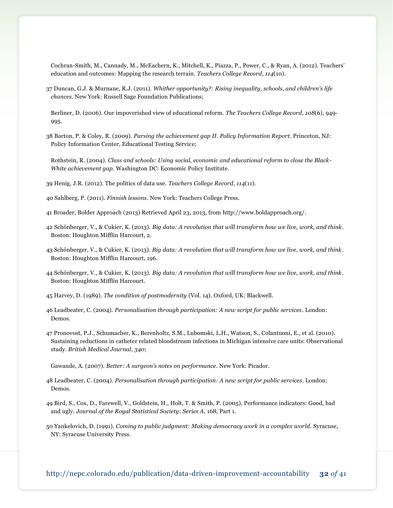Cochran-Smith, M., Cannady, M., McEachern, K., Mitchell, K., Piazza, P., Power, C., & Ryan, A. (2012). Teachers' education and outcomes: Mapping the research terrain. *Teachers College Record*, *114*(10).

37 Duncan, G.J. & Murnane, R.J. (2011). *Whither opportunity?: Rising inequality, schools, and children's life chances*. New York: Russell Sage Foundation Publications;

Berliner, D. (2006). Our impoverished view of educational reform. *The Teachers College Record*, *108*(6), 949- 995.

- 38 Barton, P. & Coley, R. (2009). *Parsing the achievement gap II. Policy Information Report*. Princeton, NJ: Policy Information Center, Educational Testing Service;
	- Rothstein, R. (2004). *Class and schools: Using social, economic and educational reform to close the Black-White achievement gap.* Washington DC: Economic Policy Institute.
- 39 Henig, J.R. (2012). The politics of data use. *Teachers College Record*, *114*(11).
- 40 Sahlberg, P. (2011). *Finnish lessons*. New York: Teachers College Press.
- 41 Broader, Bolder Approach (2013) Retrieved April 23, 2013, from [http://www.boldapproach.org/.](http://www.boldapproach.org/)
- 42 Schönberger, V., & Cukier, K. (2013). *Big data: A revolution that will transform how we live, work, and think*. Boston: Houghton Mifflin Harcourt, 2.
- 43 Schönberger, V., & Cukier, K. (2013). *Big data: A revolution that will transform how we live, work, and think*. Boston: Houghton Mifflin Harcourt, 196.
- 44 Schönberger, V., & Cukier, K. (2013). *Big data: A revolution that will transform how we live, work, and think*. Boston: Houghton Mifflin Harcourt.
- 45 Harvey, D. (1989). *The condition of postmodernity* (Vol. 14). Oxford, UK: Blackwell.
- 46 Leadbeater, C. (2004). *Personalisation through participation: A new script for public services*. London: Demos.
- 47 Pronovost, P.J., Schumacher, K., Berenholtz, S.M., Lubomski, L.H., Watson, S., Colantuoni, E., et al. (2010). Sustaining reductions in catheter related bloodstream infections in Michigan intensive care units: Observational study. *British Medical Journal*, *340*;
	- Gawande, A. (2007). *Better: A surgeon's notes on performance*. New York: Picador.
- 48 Leadbeater, C. (2004). *Personalisation through participation: A new script for public services*. London: Demos.
- 49 Bird, S., Cox, D., Farewell, V., Goldstein, H., Holt, T. & Smith, P. (2005). Performance indicators: Good, bad and ugly. *Journal of the Royal Statistical Society*: *Series A,* 168, Part 1.
- 50 Yankelovich, D. (1991). *Coming to public judgment: Making democracy work in a complex world.* Syracuse, NY: Syracuse University Press.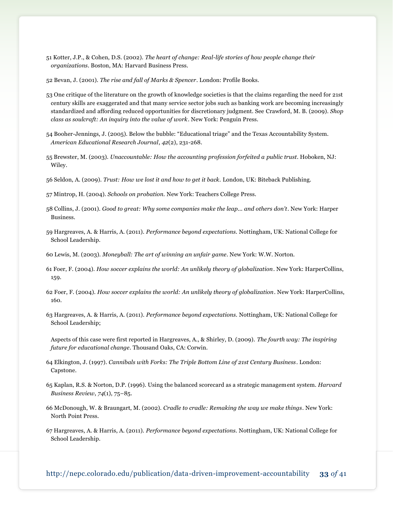- 51 Kotter, J.P., & Cohen, D.S. (2002). *The heart of change: Real-life stories of how people change their organizations*. Boston, MA: Harvard Business Press.
- 52 Bevan, J. (2001). *The rise and fall of Marks & Spencer*. London: Profile Books.
- 53 One critique of the literature on the growth of knowledge societies is that the claims regarding the need for 21st century skills are exaggerated and that many service sector jobs such as banking work are becoming increasingly standardized and affording reduced opportunities for discretionary judgment. See Crawford, M. B. (2009). *Shop class as soulcraft: An inquiry into the value of work*. New York: Penguin Press.
- 54 Booher-Jennings, J. (2005). Below the bubble: "Educational triage" and the Texas Accountability System. *American Educational Research Journal*, *42*(2), 231-268.
- 55 Brewster, M. (2003). *Unaccountable: How the accounting profession forfeited a public trust*. Hoboken, NJ: Wiley.
- 56 Seldon, A. (2009). *Trust: How we lost it and how to get it back.* London, UK: Biteback Publishing.

57 Mintrop, H. (2004). *Schools on probation.* New York: Teachers College Press.

- 58 Collins, J. (2001). *Good to great: Why some companies make the leap... and others don't*. New York: Harper Business.
- 59 Hargreaves, A. & Harris, A. (2011). *Performance beyond expectations.* Nottingham, UK: National College for School Leadership.
- 60 Lewis, M. (2003). *Moneyball: The art of winning an unfair game*. New York: W.W. Norton.
- 61 Foer, F. (2004). *How soccer explains the world: An unlikely theory of globalization*. New York: HarperCollins, 159.
- 62 Foer, F. (2004). *How soccer explains the world: An unlikely theory of globalization*. New York: HarperCollins, 160.
- 63 Hargreaves, A. & Harris, A. (2011). *Performance beyond expectations.* Nottingham, UK: National College for School Leadership;

Aspects of this case were first reported in Hargreaves, A., & Shirley, D. (2009). *The fourth way: The inspiring future for educational change*. Thousand Oaks, CA: Corwin.

- 64 Elkington, J. (1997). *Cannibals with Forks: The Triple Bottom Line of 21st Century Business*. London: Capstone.
- 65 Kaplan, R.S. & Norton, D.P. (1996). Using the balanced scorecard as a strategic management system. *Harvard Business Review*, *74*(1), 75–85.
- 66 McDonough, W. & Braungart, M. (2002). *Cradle to cradle: Remaking the way we make things*. New York: North Point Press.
- 67 Hargreaves, A. & Harris, A. (2011). *Performance beyond expectations.* Nottingham, UK: National College for School Leadership.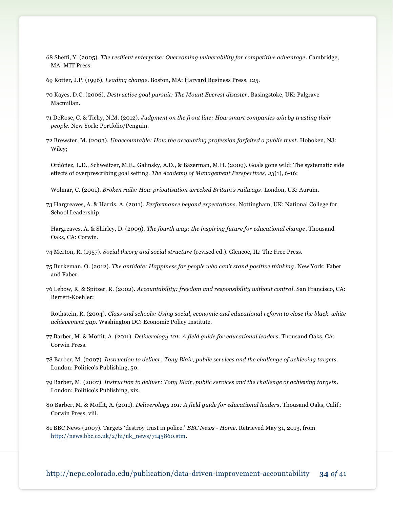- 68 Sheffi, Y. (2005). *The resilient enterprise: Overcoming vulnerability for competitive advantage*. Cambridge, MA: MIT Press.
- 69 Kotter, J.P. (1996). *Leading change*. Boston, MA: Harvard Business Press, 125.
- 70 Kayes, D.C. (2006). *Destructive goal pursuit: The Mount Everest disaster*. Basingstoke, UK: Palgrave Macmillan.
- 71 DeRose, C. & Tichy, N.M. (2012). *Judgment on the front line: How smart companies win by trusting their people*. New York: Portfolio/Penguin.
- 72 Brewster, M. (2003). *Unaccountable: How the accounting profession forfeited a public trust*. Hoboken, NJ: Wiley;
	- Ordóñez, L.D., Schweitzer, M.E., Galinsky, A.D., & Bazerman, M.H. (2009). Goals gone wild: The systematic side effects of overprescribing goal setting. *The Academy of Management Perspectives*, *23*(1), 6-16;

Wolmar, C. (2001). *Broken rails: How privatisation wrecked Britain's railways*. London, UK: Aurum.

- 73 Hargreaves, A. & Harris, A. (2011). *Performance beyond expectations.* Nottingham, UK: National College for School Leadership;
- Hargreaves, A. & Shirley, D. (2009). *The fourth way: the inspiring future for educational change*. Thousand Oaks, CA: Corwin.
- 74 Merton, R. (1957). *Social theory and social structure* (revised ed.). Glencoe, IL: The Free Press.
- 75 Burkeman, O. (2012). *The antidote: Happiness for people who can't stand positive thinking*. New York: Faber and Faber.
- 76 Lebow, R. & Spitzer, R. (2002). *Accountability: freedom and responsibility without control*. San Francisco, CA: Berrett-Koehler;
	- Rothstein, R. (2004). *Class and schools: Using social, economic and educational reform to close the black-white achievement gap.* Washington DC: Economic Policy Institute.
- 77 Barber, M. & Moffit, A. (2011). *Deliverology 101: A field guide for educational leaders*. Thousand Oaks, CA: Corwin Press.
- 78 Barber, M. (2007). *Instruction to deliver: Tony Blair, public services and the challenge of achieving targets*. London: Politico's Publishing, 50.
- 79 Barber, M. (2007). *Instruction to deliver: Tony Blair, public services and the challenge of achieving targets*. London: Politico's Publishing, xix.
- 80 Barber, M. & Moffit, A. (2011). *Deliverology 101: A field guide for educational leaders*. Thousand Oaks, Calif.: Corwin Press, viii.
- 81 BBC News (2007). Targets 'destroy trust in police.' *BBC News - Home*. Retrieved May 31, 2013, from [http://news.bbc.co.uk/2/hi/uk\\_news/7145860.stm.](http://news.bbc.co.uk/2/hi/uk_news/7145860.stm)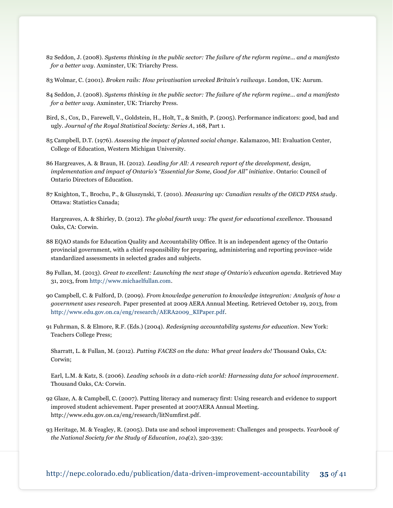- 82 Seddon, J. (2008). *Systems thinking in the public sector: The failure of the reform regime... and a manifesto for a better way*. Axminster, UK: Triarchy Press.
- 83 Wolmar, C. (2001). *Broken rails: How privatisation wrecked Britain's railways*. London, UK: Aurum.
- 84 Seddon, J. (2008). *Systems thinking in the public sector: The failure of the reform regime... and a manifesto for a better way*. Axminster, UK: Triarchy Press.
- Bird, S., Cox, D., Farewell, V., Goldstein, H., Holt, T., & Smith, P. (2005). Performance indicators: good, bad and ugly. *Journal of the Royal Statistical Society: Series A*, 168, Part 1.
- 85 Campbell, D.T. (1976). *Assessing the impact of planned social change*. Kalamazoo, MI: Evaluation Center, College of Education, Western Michigan University.
- 86 Hargreaves, A. & Braun, H. (2012). *Leading for All: A research report of the development, design, implementation and impact of Ontario's "Essential for Some, Good for All" initiative*. Ontario: Council of Ontario Directors of Education.
- 87 Knighton, T., Brochu, P., & Gluszynski, T. (2010). *Measuring up: Canadian results of the OECD PISA study*. Ottawa: Statistics Canada;
	- Hargreaves, A. & Shirley, D. (2012). *The global fourth way: The quest for educational excellence*. Thousand Oaks, CA: Corwin.
- 88 EQAO stands for Education Quality and Accountability Office. It is an independent agency of the Ontario provincial government, with a chief responsibility for preparing, administering and reporting province-wide standardized assessments in selected grades and subjects.
- 89 Fullan, M. (2013). *Great to excellent: Launching the next stage of Ontario's education agenda*. Retrieved May 31, 2013, fro[m http://www.michaelfullan.com.](http://www.michaelfullan.com/)
- 90 Campbell, C. & Fulford, D. (2009). *From knowledge generation to knowledge integration: Analysis of how a government uses research.* Paper presented at 2009 AERA Annual Meeting. Retrieved October 19, 2013, from [http://www.edu.gov.on.ca/eng/research/AERA2009\\_KIPaper.pdf.](http://www.edu.gov.on.ca/eng/research/AERA2009_KIPaper.pdf)
- 91 Fuhrman, S. & Elmore, R.F. (Eds.) (2004). *Redesigning accountability systems for education*. New York: Teachers College Press;

Sharratt, L. & Fullan, M. (2012). *Putting FACES on the data: What great leaders do!* Thousand Oaks, CA: Corwin;

Earl, L.M. & Katz, S. (2006). *Leading schools in a data-rich world: Harnessing data for school improvement*. Thousand Oaks, CA: Corwin.

92 Glaze, A. & Campbell, C. (2007). Putting literacy and numeracy first: Using research and evidence to support improved student achievement. Paper presented at 2007AERA Annual Meeting. [http://www.edu.gov.on.ca/eng/research/litNumfirst.pdf.](http://www.edu.gov.on.ca/eng/research/litNumfirst.pdf)

93 Heritage, M. & Yeagley, R. (2005). Data use and school improvement: Challenges and prospects. *Yearbook of the National Society for the Study of Education*, *104*(2), 320-339;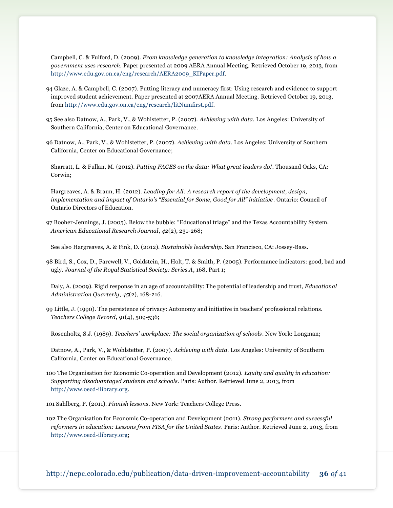Campbell, C. & Fulford, D. (2009). *From knowledge generation to knowledge integration: Analysis of how a government uses research.* Paper presented at 2009 AERA Annual Meeting. Retrieved October 19, 2013, from [http://www.edu.gov.on.ca/eng/research/AERA2009\\_KIPaper.pdf.](http://www.edu.gov.on.ca/eng/research/AERA2009_KIPaper.pdf)

- 94 Glaze, A. & Campbell, C. (2007). Putting literacy and numeracy first: Using research and evidence to support improved student achievement. Paper presented at 2007AERA Annual Meeting. Retrieved October 19, 2013, from [http://www.edu.gov.on.ca/eng/research/litNumfirst.pdf.](http://www.edu.gov.on.ca/eng/research/litNumfirst.pdf)
- 95 See also Datnow, A., Park, V., & Wohlstetter, P. (2007). *Achieving with data.* Los Angeles: University of Southern California, Center on Educational Governance.
- 96 Datnow, A., Park, V., & Wohlstetter, P. (2007). *Achieving with data*. Los Angeles: University of Southern California, Center on Educational Governance;
- Sharratt, L. & Fullan, M. (2012). *Putting FACES on the data: What great leaders do!*. Thousand Oaks, CA: Corwin;

Hargreaves, A. & Braun, H. (2012). *Leading for All: A research report of the development, design, implementation and impact of Ontario's "Essential for Some, Good for All" initiative*. Ontario: Council of Ontario Directors of Education.

97 Booher-Jennings, J. (2005). Below the bubble: "Educational triage" and the Texas Accountability System. *American Educational Research Journal*, *42*(2), 231-268;

See also Hargreaves, A. & Fink, D. (2012). *Sustainable leadership*. San Francisco, CA: Jossey-Bass.

98 Bird, S., Cox, D., Farewell, V., Goldstein, H., Holt, T. & Smith, P. (2005). Performance indicators: good, bad and ugly. *Journal of the Royal Statistical Society: Series A*, 168, Part 1;

Daly, A. (2009). Rigid response in an age of accountability: The potential of leadership and trust, *Educational Administration Quarterly*, *45*(2), 168-216.

99 Little, J. (1990). The persistence of privacy: Autonomy and initiative in teachers' professional relations. *Teachers College Record*, *91*(4), 509-536;

Rosenholtz, S.J. (1989). *Teachers' workplace: The social organization of schools*. New York: Longman;

Datnow, A., Park, V., & Wohlstetter, P. (2007). *Achieving with data.* Los Angeles: University of Southern California, Center on Educational Governance.

100 The Organisation for Economic Co-operation and Development (2012). *Equity and quality in education: Supporting disadvantaged students and schools.* Paris: Author. Retrieved June 2, 2013, from [http://www.oecd-ilibrary.org.](http://www.oecd-ilibrary.org/)

101 Sahlberg, P. (2011). *Finnish lessons*. New York: Teachers College Press.

102 The Organisation for Economic Co-operation and Development (2011). *Strong performers and successful reformers in education: Lessons from PISA for the United States*. Paris: Author. Retrieved June 2, 2013, from [http://www.oecd-ilibrary.org;](http://www.oecd-ilibrary.org/)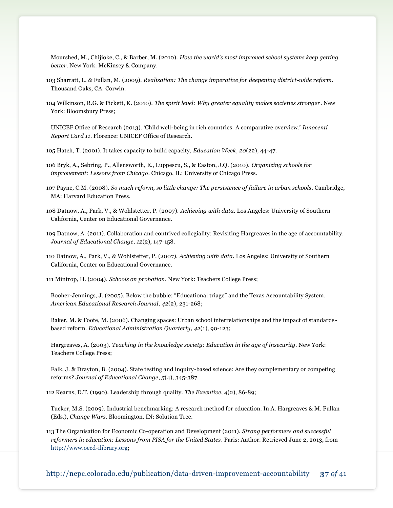Mourshed, M., Chijioke, C., & Barber, M. (2010). *How the world's most improved school systems keep getting better*. New York: McKinsey & Company.

- 103 Sharratt, L. & Fullan, M. (2009). *Realization: The change imperative for deepening district-wide reform*. Thousand Oaks, CA: Corwin.
- 104 Wilkinson, R.G. & Pickett, K. (2010). *The spirit level: Why greater equality makes societies stronger*. New York: Bloomsbury Press;

UNICEF Office of Research (2013). 'Child well-being in rich countries: A comparative overview.' *Innocenti Report Card 11*. Florence: UNICEF Office of Research.

105 Hatch, T. (2001). It takes capacity to build capacity, *Education Week*, *20*(22), 44-47.

106 Bryk, A., Sebring, P., Allensworth, E., Luppescu, S., & Easton, J.Q. (2010). *Organizing schools for improvement: Lessons from Chicago*. Chicago, IL: University of Chicago Press.

107 Payne, C.M. (2008). *So much reform, so little change: The persistence of failure in urban schools*. Cambridge, MA: Harvard Education Press.

108 Datnow, A., Park, V., & Wohlstetter, P. (2007). *Achieving with data.* Los Angeles: University of Southern California, Center on Educational Governance.

109 Datnow, A. (2011). Collaboration and contrived collegiality: Revisiting Hargreaves in the age of accountability. *Journal of Educational Change*, *12*(2), 147-158.

110 Datnow, A., Park, V., & Wohlstetter, P. (2007). *Achieving with data.* Los Angeles: University of Southern California, Center on Educational Governance.

111 Mintrop, H. (2004). *Schools on probation*. New York: Teachers College Press;

Booher-Jennings, J. (2005). Below the bubble: "Educational triage" and the Texas Accountability System. *American Educational Research Journal*, *42*(2), 231-268;

Baker, M. & Foote, M. (2006). Changing spaces: Urban school interrelationships and the impact of standards based reform. *Educational Administration Quarterly*, *42*(1), 90-123;

Hargreaves, A. (2003). *Teaching in the knowledge society: Education in the age of insecurity*. New York: Teachers College Press;

Falk, J. & Drayton, B. (2004). State testing and inquiry-based science: Are they complementary or competing reforms? *Journal of Educational Change*, *5*(4), 345-387.

112 Kearns, D.T. (1990). Leadership through quality. *The Executive*, *4*(2), 86-89;

Tucker, M.S. (2009). Industrial benchmarking: A research method for education. In A. Hargreaves & M. Fullan (Eds.), *Change Wars*. Bloomington, IN: Solution Tree.

113 The Organisation for Economic Co-operation and Development (2011). *Strong performers and successful reformers in education: Lessons from PISA for the United States*. Paris: Author. Retrieved June 2, 2013, from [http://www.oecd-ilibrary.org;](http://www.oecd-ilibrary.org/)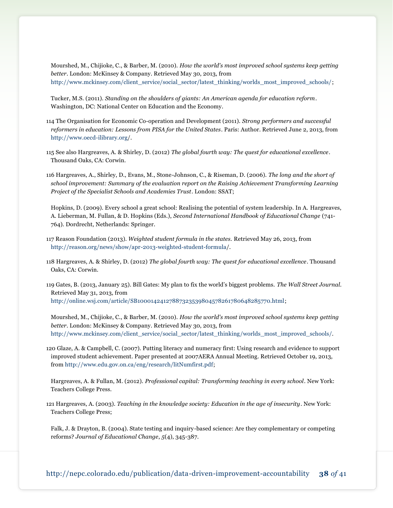Mourshed, M., Chijioke, C., & Barber, M. (2010). *How the world's most improved school systems keep getting better*. London: McKinsey & Company. Retrieved May 30, 2013, from [http://www.mckinsey.com/client\\_service/social\\_sector/latest\\_thinking/worlds\\_most\\_improved\\_schools/;](http://www.mckinsey.com/client_service/social_sector/latest_thinking/worlds_most_improved_schools/)

Tucker, M.S. (2011). *Standing on the shoulders of giants: An American agenda for education reform*. Washington, DC: National Center on Education and the Economy.

- 114 The Organisation for Economic Co-operation and Development (2011). *Strong performers and successful reformers in education: Lessons from PISA for the United States*. Paris: Author. Retrieved June 2, 2013, from <http://www.oecd-ilibrary.org/>.
- 115 See also Hargreaves, A. & Shirley, D. (2012) *The global fourth way: The quest for educational excellence*. Thousand Oaks, CA: Corwin.
- 116 Hargreaves, A., Shirley, D., Evans, M., Stone-Johnson, C., & Riseman, D. (2006). *The long and the short of*  school improvement: Summary of the evaluation report on the Raising Achievement Transforming Learning *Project of the Specialist Schools and Academies Trust*. London: SSAT;

Hopkins, D. (2009). Every school a great school: Realising the potential of system leadership. In A. Hargreaves, A. Lieberman, M. Fullan, & D. Hopkins (Eds.), *Second International Handbook of Educational Change* (741- 764). Dordrecht, Netherlands: Springer.

- 117 Reason Foundation (2013). *Weighted student formula in the states.* Retrieved May 26, 2013, from [http://reason.org/news/show/apr-2013-weighted-student-formula/](http://reason.org/news/show/apr-2013-weighted-student-formula).
- 118 Hargreaves, A. & Shirley, D. (2012) *The global fourth way: The quest for educational excellence*. Thousand Oaks, CA: Corwin.

119 Gates, B. (2013, January 25). Bill Gates: My plan to fix the world's biggest problems. *The Wall Street Journal.*  Retrieved May 31, 2013, from [http://online.wsj.com/article/SB10001424127887323539804578261780648285770.html;](http://online.wsj.com/article/SB10001424127887323539804578261780648285770.html)

Mourshed, M., Chijioke, C., & Barber, M. (2010). *How the world's most improved school systems keep getting better*. London: McKinsey & Company. Retrieved May 30, 2013, from [http://www.mckinsey.com/client\\_service/social\\_sector/latest\\_thinking/worlds\\_most\\_improved\\_schools/](http://www.mckinsey.com/client_service/social_sector/latest_thinking/worlds_most_improved_schools).

120 Glaze, A. & Campbell, C. (2007). Putting literacy and numeracy first: Using research and evidence to support improved student achievement. Paper presented at 2007AERA Annual Meeting. Retrieved October 19, 2013, from [http://www.edu.gov.on.ca/eng/research/litNumfirst.pdf;](http://www.edu.gov.on.ca/eng/research/litNumfirst.pdf)

Hargreaves, A. & Fullan, M. (2012). *Professional capital: Transforming teaching in every school*. New York: Teachers College Press.

121 Hargreaves, A. (2003). *Teaching in the knowledge society: Education in the age of insecurity*. New York: Teachers College Press;

Falk, J. & Drayton, B. (2004). State testing and inquiry-based science: Are they complementary or competing reforms? *Journal of Educational Change*, *5*(4), 345-387.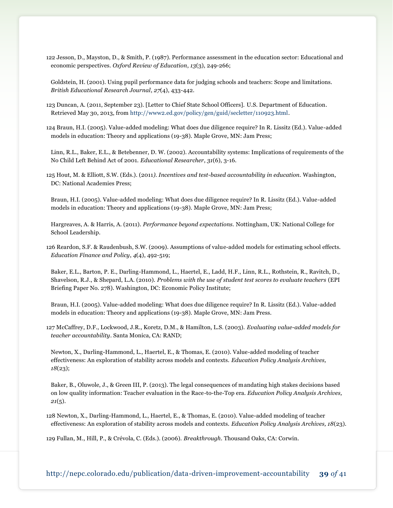122 Jesson, D., Mayston, D., & Smith, P. (1987). Performance assessment in the education sector: Educational and economic perspectives. *Oxford Review of Education*, *13*(3), 249-266;

Goldstein, H. (2001). Using pupil performance data for judging schools and teachers: Scope and limitations. *British Educational Research Journal*, *27*(4), 433-442.

123 Duncan, A. (2011, September 23). [Letter to Chief State School Officers]. U.S. Department of Education. Retrieved May 30, 2013, from [http://www2.ed.gov/policy/gen/guid/secletter/110923.html.](http://www2.ed.gov/policy/gen/guid/secletter/110923.html)

124 Braun, H.I. (2005). Value-added modeling: What does due diligence require? In R. Lissitz (Ed.). Value-added models in education: Theory and applications (19-38). Maple Grove, MN: Jam Press;

Linn, R.L., Baker, E.L., & Betebenner, D. W. (2002). Accountability systems: Implications of requirements of the No Child Left Behind Act of 2001. *Educational Researcher*, *31*(6), 3-16.

125 Hout, M. & Elliott, S.W. (Eds.). (2011*). Incentives and test-based accountability in education.* Washington, DC: National Academies Press;

Braun, H.I. (2005). Value-added modeling: What does due diligence require? In R. Lissitz (Ed.). Value-added models in education: Theory and applications (19-38). Maple Grove, MN: Jam Press;

Hargreaves, A. & Harris, A. (2011). *Performance beyond expectations.* Nottingham, UK: National College for School Leadership.

126 Reardon, S.F. & Raudenbush, S.W. (2009). Assumptions of value-added models for estimating school effects. *Education Finance and Policy*, *4*(4), 492-519;

Baker, E.L., Barton, P. E., Darling-Hammond, L., Haertel, E., Ladd, H.F., Linn, R.L., Rothstein, R., Ravitch, D., Shavelson, R.J., & Shepard, L.A. (2010). *Problems with the use of student test scores to evaluate teachers* (EPI Briefing Paper No. 278). Washington, DC: Economic Policy Institute;

Braun, H.I. (2005). Value-added modeling: What does due diligence require? In R. Lissitz (Ed.). Value-added models in education: Theory and applications (19-38). Maple Grove, MN: Jam Press.

127 McCaffrey, D.F., Lockwood, J.R., Koretz, D.M., & Hamilton, L.S. (2003). *Evaluating value-added models for teacher accountability*. Santa Monica, CA: RAND;

Newton, X., Darling-Hammond, L., Haertel, E., & Thomas, E. (2010). Value-added modeling of teacher effectiveness: An exploration of stability across models and contexts. *Education Policy Analysis Archives, 18*(23);

Baker, B., Oluwole, J., & Green III, P. (2013). The legal consequences of mandating high stakes decisions based on low quality information: Teacher evaluation in the Race-to-the-Top era. *Education Policy Analysis Archives, 21*(5).

128 Newton, X., Darling-Hammond, L., Haertel, E., & Thomas, E. (2010). Value-added modeling of teacher effectiveness: An exploration of stability across models and contexts. *Education Policy Analysis Archives, 18*(23).

129 Fullan, M., Hill, P., & Crévola, C. (Eds.). (2006). *Breakthrough*. Thousand Oaks, CA: Corwin.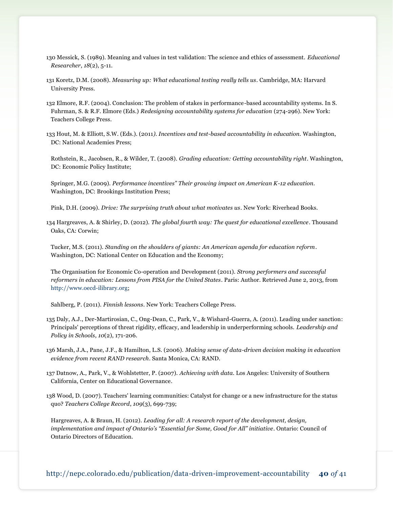- 130 Messick, S. (1989). Meaning and values in test validation: The science and ethics of assessment. *Educational Researcher*, *18*(2), 5-11.
- 131 Koretz, D.M. (2008). *Measuring up: What educational testing really tells us*. Cambridge, MA: Harvard University Press.
- 132 Elmore, R.F. (2004). Conclusion: The problem of stakes in performance-based accountability systems. In S. Fuhrman, S. & R.F. Elmore (Eds.) *Redesigning accountability systems for education* (274-296). New York: Teachers College Press.
- 133 Hout, M. & Elliott, S.W. (Eds.). (2011*). Incentives and test-based accountability in education.* Washington, DC: National Academies Press;

Rothstein, R., Jacobsen, R., & Wilder, T. (2008). *Grading education: Getting accountability right*. Washington, DC: Economic Policy Institute;

Springer, M.G. (2009). *Performance incentives" Their growing impact on American K-12 education*. Washington, DC: Brookings Institution Press;

Pink, D.H. (2009). *Drive: The surprising truth about what motivates us*. New York: Riverhead Books.

134 Hargreaves, A. & Shirley, D. (2012). *The global fourth way: The quest for educational excellence*. Thousand Oaks, CA: Corwin;

Tucker, M.S. (2011). *Standing on the shoulders of giants: An American agenda for education reform*. Washington, DC: National Center on Education and the Economy;

The Organisation for Economic Co-operation and Development (2011). *Strong performers and successful reformers in education: Lessons from PISA for the United States*. Paris: Author. Retrieved June 2, 2013, from [http://www.oecd-ilibrary.org;](http://www.oecd-ilibrary.org/)

Sahlberg, P. (2011). *Finnish lessons*. New York: Teachers College Press.

135 Daly, A.J., Der-Martirosian, C., Ong-Dean, C., Park, V., & Wishard-Guerra, A. (2011). Leading under sanction: Principals' perceptions of threat rigidity, efficacy, and leadership in underperforming schools. *Leadership and Policy in Schools*, *10*(2), 171-206.

136 Marsh, J.A., Pane, J.F., & Hamilton, L.S. (2006). *Making sense of data-driven decision making in education evidence from recent RAND research*. Santa Monica, CA: RAND.

137 Datnow, A., Park, V., & Wohlstetter, P. (2007). *Achieving with data.* Los Angeles: University of Southern California, Center on Educational Governance.

138 Wood, D. (2007). Teachers' learning communities: Catalyst for change or a new infrastructure for the status quo? *Teachers College Record*, *109*(3), 699-739;

Hargreaves, A. & Braun, H. (2012). *Leading for all: A research report of the development, design, implementation and impact of Ontario's "Essential for Some, Good for All" initiative*. Ontario: Council of Ontario Directors of Education.